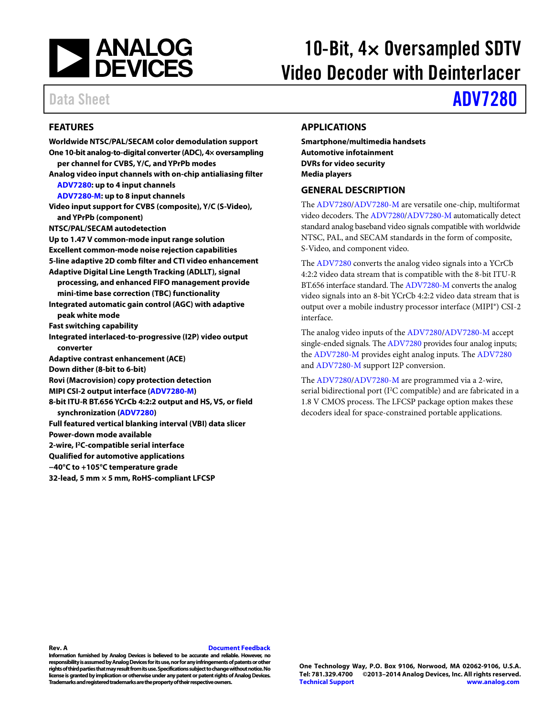

# 10-Bit,  $4\times$  Oversampled SDTV Video Decoder with Deinterlacer

## Data Sheet **[ADV7280](http://www.analog.com/ADV7280?doc=ADV7280.pdf)**

### <span id="page-0-0"></span>**FEATURES**

**Worldwide NTSC/PAL/SECAM color demodulation support One 10-bit analog-to-digital converter (ADC), 4× oversampling per channel for CVBS, Y/C, and YPrPb modes Analog video input channels with on-chip antialiasing filter [ADV7280:](http://www.analog.com/ADV7280?doc=ADV7280.pdf) up to 4 input channels [ADV7280-M:](http://www.analog.com/ADV7280?doc=ADV7280.pdf) up to 8 input channels Video input support for CVBS (composite), Y/C (S-Video), and YPrPb (component) NTSC/PAL/SECAM autodetection Up to 1.47 V common-mode input range solution Excellent common-mode noise rejection capabilities 5-line adaptive 2D comb filter and CTI video enhancement Adaptive Digital Line Length Tracking (ADLLT), signal processing, and enhanced FIFO management provide mini-time base correction (TBC) functionality Integrated automatic gain control (AGC) with adaptive peak white mode Fast switching capability Integrated interlaced-to-progressive (I2P) video output converter Adaptive contrast enhancement (ACE) Down dither (8-bit to 6-bit) Rovi (Macrovision) copy protection detection MIPI CSI-2 output interface [\(ADV7280-M\)](http://www.analog.com/ADV7280?doc=ADV7280.pdf) 8-bit ITU-R BT.656 YCrCb 4:2:2 output and HS, VS, or field synchronization [\(ADV7280\)](http://www.analog.com/ADV7280?doc=ADV7280.pdf) Full featured vertical blanking interval (VBI) data slicer Power-down mode available 2-wire, I2C-compatible serial interface Qualified for automotive applications −40°C to +105°C temperature grade 32-lead, 5 mm × 5 mm, RoHS-compliant LFCSP**

### <span id="page-0-1"></span>**APPLICATIONS**

**Smartphone/multimedia handsets Automotive infotainment DVRs for video security Media players**

#### <span id="page-0-2"></span>**GENERAL DESCRIPTION**

The [ADV7280/ADV7280-M](http://www.analog.com/ADV7280?doc=ADV7280.pdf) are versatile one-chip, multiformat video decoders. Th[e ADV7280/ADV7280-M](http://www.analog.com/ADV7280?doc=ADV7280.pdf) automatically detect standard analog baseband video signals compatible with worldwide NTSC, PAL, and SECAM standards in the form of composite, S-Video, and component video.

The [ADV7280](http://www.analog.com/ADV7280?doc=ADV7280.pdf) converts the analog video signals into a YCrCb 4:2:2 video data stream that is compatible with the 8-bit ITU-R BT.656 interface standard. Th[e ADV7280-M](http://www.analog.com/ADV7280?doc=ADV7280.pdf) converts the analog video signals into an 8-bit YCrCb 4:2:2 video data stream that is output over a mobile industry processor interface (MIPI®) CSI-2 interface.

The analog video inputs of th[e ADV7280/ADV7280-M](http://www.analog.com/ADV7280?doc=ADV7280.pdf) accept single-ended signals. Th[e ADV7280](http://www.analog.com/ADV7280?doc=ADV7280.pdf) provides four analog inputs; the [ADV7280-M](http://www.analog.com/ADV7280?doc=ADV7280.pdf) provides eight analog inputs. Th[e ADV7280](http://www.analog.com/ADV7280?doc=ADV7280.pdf) an[d ADV7280-M](http://www.analog.com/ADV7280?doc=ADV7280.pdf) support I2P conversion.

The [ADV7280/ADV7280-M](http://www.analog.com/ADV7280?doc=ADV7280.pdf) are programmed via a 2-wire, serial bidirectional port (I<sup>2</sup>C compatible) and are fabricated in a 1.8 V CMOS process. The LFCSP package option makes these decoders ideal for space-constrained portable applications.

**Information furnished by Analog Devices is believed to be accurate and reliable. However, no responsibility is assumed by Analog Devices for its use, nor for any infringements of patents or other rights of third parties that may result from its use. Specifications subject to change without notice. No license is granted by implication or otherwise under any patent or patent rights of Analog Devices. Trademarks and registered trademarks are the property of their respective owners.**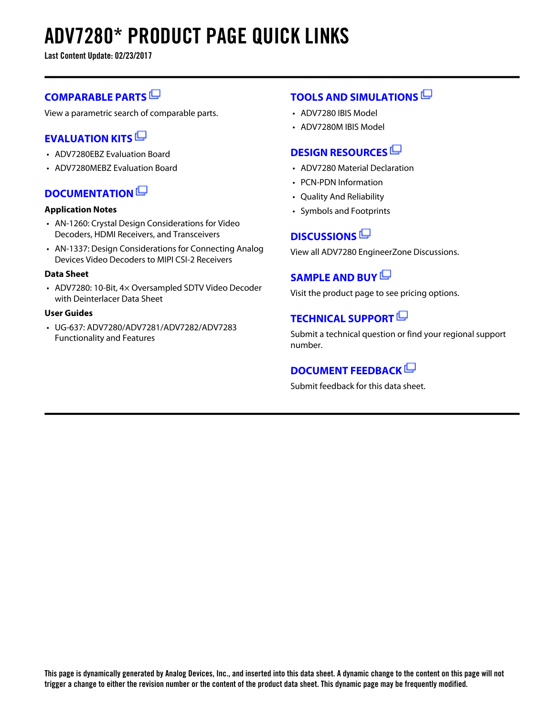# **ADV7280\* PRODUCT PAGE QUICK LINKS**

**Last Content Update: 02/23/2017**

### **[COMPARABLE PARTS](http://www.analog.com/parametricsearch/en/11282?doc=ADV7280.pdf&p0=1&lsrc=pst)**

View a parametric search of comparable parts.

### **[EVALUATION KITS](http://www.analog.com/adv7280/evalkits?doc=ADV7280.pdf&p0=1&lsrc=ek)**

- ADV7280EBZ Evaluation Board
- ADV7280MEBZ Evaluation Board

### **[DOCUMENTATION](http://www.analog.com/adv7280/documentation?doc=ADV7280.pdf&p0=1&lsrc=doc)**

### **Application Notes**

- AN-1260: Crystal Design Considerations for Video Decoders, HDMI Receivers, and Transceivers
- AN-1337: Design Considerations for Connecting Analog Devices Video Decoders to MIPI CSI-2 Receivers

### **Data Sheet**

• ADV7280: 10-Bit, 4× Oversampled SDTV Video Decoder with Deinterlacer Data Sheet

#### **User Guides**

• UG-637: ADV7280/ADV7281/ADV7282/ADV7283 Functionality and Features

### **[TOOLS AND SIMULATIONS](http://www.analog.com/adv7280/tools?doc=ADV7280.pdf&p0=1&lsrc=tools)**

- ADV7280 IBIS Model
- ADV7280M IBIS Model

### **[DESIGN RESOURCES](http://www.analog.com/adv7280/designsources?doc=ADV7280.pdf&p0=1&lsrc=dr)**

- ADV7280 Material Declaration
- PCN-PDN Information
- Quality And Reliability
- Symbols and Footprints

### **[DISCUSSIONS](http://www.analog.com/adv7280/discussions?doc=ADV7280.pdf&p0=1&lsrc=disc)**

View all ADV7280 EngineerZone Discussions.

### **[SAMPLE AND BUY](http://www.analog.com/adv7280/sampleandbuy?doc=ADV7280.pdf&p0=1&lsrc=sb)**

Visit the product page to see pricing options.

### **[TECHNICAL SUPPORT](http://www.analog.com/support/technical-support.html?doc=ADV7280.pdf&p0=1&lsrc=techs)**

Submit a technical question or find your regional support number.

### **[DOCUMENT FEEDBACK](https://form.analog.com/Form_Pages/feedback/documentfeedback.aspx?doc=ADV7280.pdf&product=ADV7280&p0=1&lsrc=dfs)**

Submit feedback for this data sheet.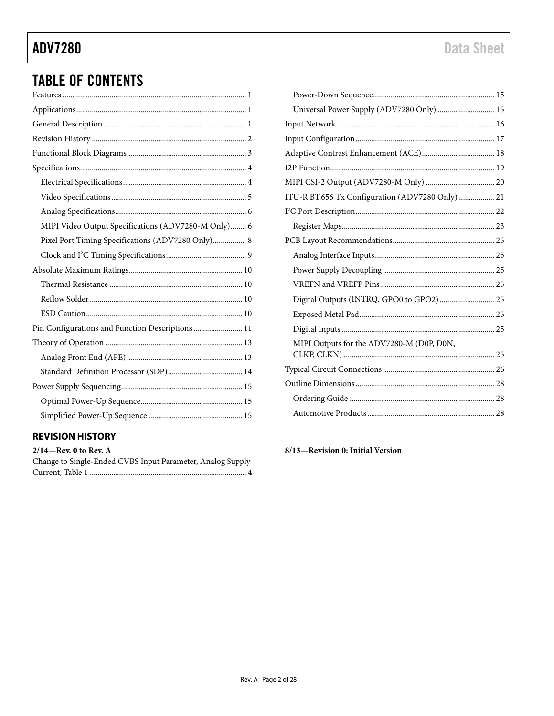## **ADV7280**

## **TABLE OF CONTENTS**

| MIPI Video Output Specifications (ADV7280-M Only) 6 |
|-----------------------------------------------------|
| Pixel Port Timing Specifications (ADV7280 Only) 8   |
|                                                     |
|                                                     |
|                                                     |
|                                                     |
|                                                     |
| Pin Configurations and Function Descriptions  11    |
|                                                     |
|                                                     |
|                                                     |
|                                                     |
|                                                     |
|                                                     |
|                                                     |

### <span id="page-2-0"></span>**REVISION HISTORY**

| $2/14$ —Rev. 0 to Rev. A                                   |
|------------------------------------------------------------|
| Change to Single-Ended CVBS Input Parameter, Analog Supply |
|                                                            |

| Universal Power Supply (ADV7280 Only)  15        |  |
|--------------------------------------------------|--|
|                                                  |  |
|                                                  |  |
|                                                  |  |
|                                                  |  |
|                                                  |  |
| ITU-R BT.656 Tx Configuration (ADV7280 Only)  21 |  |
|                                                  |  |
|                                                  |  |
|                                                  |  |
|                                                  |  |
|                                                  |  |
|                                                  |  |
|                                                  |  |
|                                                  |  |
|                                                  |  |
| MIPI Outputs for the ADV7280-M (D0P, D0N,        |  |
|                                                  |  |
|                                                  |  |
|                                                  |  |
|                                                  |  |
|                                                  |  |

8/13-Revision 0: Initial Version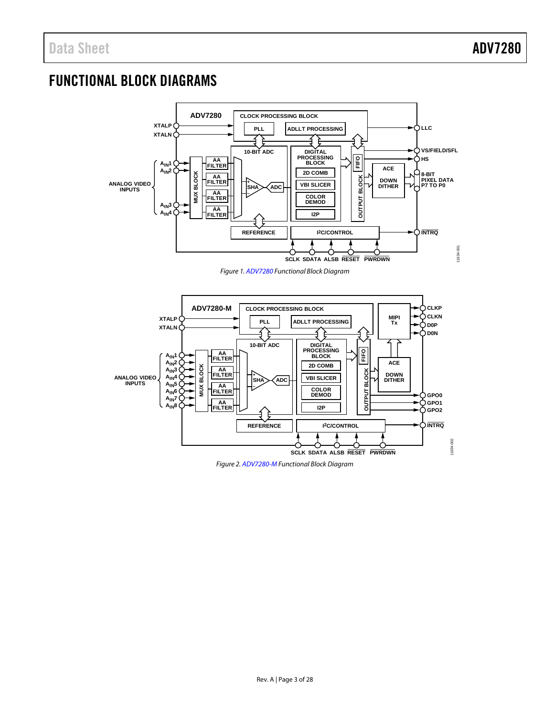### <span id="page-3-0"></span>FUNCTIONAL BLOCK DIAGRAMS



*Figure 1[. ADV7280](http://www.analog.com/ADV7280?doc=ADV7280.pdf) Functional Block Diagram*



*Figure 2[. ADV7280-M](http://www.analog.com/ADV7280?doc=ADV7280.pdf) Functional Block Diagram*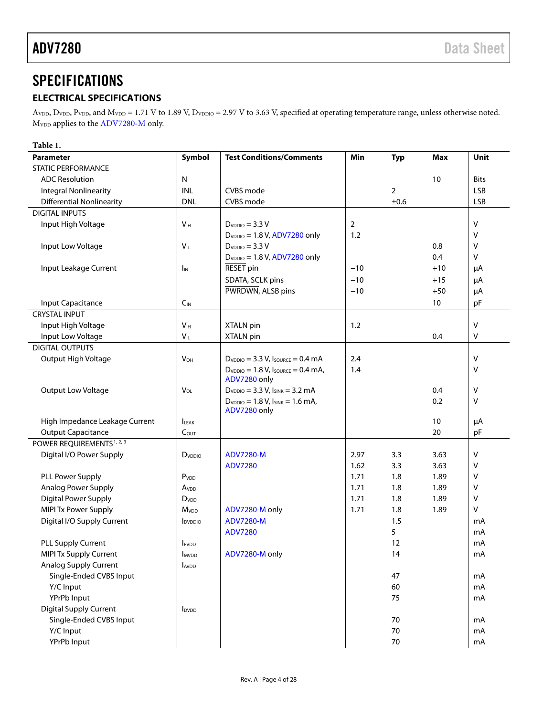### <span id="page-4-0"></span>**SPECIFICATIONS**

### <span id="page-4-1"></span>**ELECTRICAL SPECIFICATIONS**

 $A_{\text{VDD}}$ ,  $D_{\text{VDD}}$ ,  $P_{\text{VDD}}$  and  $M_{\text{VDD}}$  = 1.71 V to 1.89 V,  $D_{\text{VDDIO}}$  = 2.97 V to 3.63 V, specified at operating temperature range, unless otherwise noted. M<sub>VDD</sub> applies to the [ADV7280-M](http://www.analog.com/ADV7280?doc=ADV7280.pdf) only.

| Table 1.                              |                          |                                            |                |            |            |             |  |  |
|---------------------------------------|--------------------------|--------------------------------------------|----------------|------------|------------|-------------|--|--|
| <b>Parameter</b>                      | Symbol                   | <b>Test Conditions/Comments</b>            | Min            | <b>Typ</b> | <b>Max</b> | Unit        |  |  |
| STATIC PERFORMANCE                    |                          |                                            |                |            |            |             |  |  |
| <b>ADC Resolution</b>                 | N                        |                                            |                |            | 10         | <b>Bits</b> |  |  |
| <b>Integral Nonlinearity</b>          | INL                      | CVBS mode                                  |                | 2          |            | <b>LSB</b>  |  |  |
| <b>Differential Nonlinearity</b>      | <b>DNL</b>               | CVBS mode                                  |                | ±0.6       |            | <b>LSB</b>  |  |  |
| <b>DIGITAL INPUTS</b>                 |                          |                                            |                |            |            |             |  |  |
| Input High Voltage                    | V <sub>IH</sub>          | $D_{VDDO} = 3.3 V$                         | $\overline{2}$ |            |            | $\sf V$     |  |  |
|                                       |                          | $D_{VDIO} = 1.8 V, ADV7280$ only           | 1.2            |            |            | V           |  |  |
| Input Low Voltage                     | $V_{IL}$                 | $DVDDO = 3.3 V$                            |                |            | 0.8        | $\vee$      |  |  |
|                                       |                          | $D_{VDIO} = 1.8 V, ADV7280$ only           |                |            | 0.4        | v           |  |  |
| Input Leakage Current                 | I <sub>IN</sub>          | RESET pin                                  | $-10$          |            | $+10$      | μA          |  |  |
|                                       |                          | SDATA, SCLK pins                           | $-10$          |            | $+15$      | μA          |  |  |
|                                       |                          | PWRDWN, ALSB pins                          | $-10$          |            | $+50$      | μA          |  |  |
| Input Capacitance                     | $C_{IN}$                 |                                            |                |            | 10         | pF          |  |  |
| <b>CRYSTAL INPUT</b>                  |                          |                                            |                |            |            |             |  |  |
| Input High Voltage                    | V <sub>IH</sub>          | XTALN pin                                  | 1.2            |            |            | V           |  |  |
| Input Low Voltage                     | $V_{IL}$                 | XTALN pin                                  |                |            | 0.4        | v           |  |  |
| <b>DIGITAL OUTPUTS</b>                |                          |                                            |                |            |            |             |  |  |
| Output High Voltage                   | $V_{OH}$                 | $D_{VDDO} = 3.3 V$ , $I_{SOURCE} = 0.4 mA$ | 2.4            |            |            | v           |  |  |
|                                       |                          | $D_{VDDO} = 1.8 V, I_{SOURCE} = 0.4 mA,$   | 1.4            |            |            | v           |  |  |
|                                       |                          | ADV7280 only                               |                |            |            |             |  |  |
| Output Low Voltage                    | VOL                      | $D_{VDDO} = 3.3 V, I_{SINK} = 3.2 mA$      |                |            | 0.4        | v           |  |  |
|                                       |                          | $D_{VDDO} = 1.8 V, I_{SINK} = 1.6 mA,$     |                |            | 0.2        | v           |  |  |
|                                       |                          | ADV7280 only                               |                |            |            |             |  |  |
| High Impedance Leakage Current        | <b>ILEAK</b>             |                                            |                |            | 10         | μA          |  |  |
| <b>Output Capacitance</b>             | C <sub>OUT</sub>         |                                            |                |            | 20         | pF          |  |  |
| POWER REQUIREMENTS <sup>1, 2, 3</sup> |                          |                                            |                |            |            |             |  |  |
| Digital I/O Power Supply              | D <sub>vDDIO</sub>       | <b>ADV7280-M</b>                           | 2.97           | 3.3        | 3.63       | V           |  |  |
|                                       |                          | <b>ADV7280</b>                             | 1.62           | 3.3        | 3.63       | v           |  |  |
| PLL Power Supply                      | P <sub>VDD</sub>         |                                            | 1.71           | 1.8        | 1.89       | v           |  |  |
| Analog Power Supply                   | Avdd                     |                                            | 1.71           | 1.8        | 1.89       | v           |  |  |
| Digital Power Supply                  | D <sub>VDD</sub>         |                                            | 1.71           | 1.8        | 1.89       | v           |  |  |
| <b>MIPI Tx Power Supply</b>           | M <sub>VDD</sub>         | ADV7280-M only                             | 1.71           | 1.8        | 1.89       | v           |  |  |
| Digital I/O Supply Current            | <b>I</b> DVDDIO          | <b>ADV7280-M</b>                           |                | 1.5        |            | mA          |  |  |
|                                       |                          | <b>ADV7280</b>                             |                | 5          |            | mA          |  |  |
| PLL Supply Current                    | PVDD                     |                                            |                | 12         |            | mA          |  |  |
| MIPI Tx Supply Current                | <b>I</b> MVDD            | ADV7280-M only                             |                | 14         |            | mA          |  |  |
| <b>Analog Supply Current</b>          | AVDD                     |                                            |                |            |            |             |  |  |
| Single-Ended CVBS Input               |                          |                                            |                | 47         |            | mA          |  |  |
| Y/C Input                             |                          |                                            |                | 60         |            | mA          |  |  |
| YPrPb Input                           |                          |                                            |                | 75         |            | mA          |  |  |
| <b>Digital Supply Current</b>         | <b>I</b> <sub>DVDD</sub> |                                            |                |            |            |             |  |  |
| Single-Ended CVBS Input               |                          |                                            |                | 70         |            | mA          |  |  |
| Y/C Input                             |                          |                                            |                | 70         |            | mA          |  |  |
| YPrPb Input                           |                          |                                            |                | 70         |            | mA          |  |  |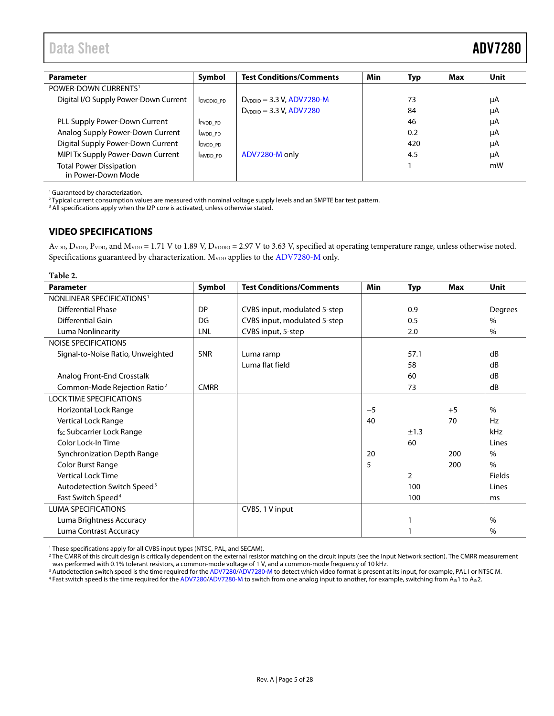<span id="page-5-1"></span>

| <b>Parameter</b>                                     | Symbol           | <b>Test Conditions/Comments</b> | Min | Typ | Max | Unit |
|------------------------------------------------------|------------------|---------------------------------|-----|-----|-----|------|
| POWER-DOWN CURRENTS <sup>1</sup>                     |                  |                                 |     |     |     |      |
| Digital I/O Supply Power-Down Current                | <b>DVDDIO PD</b> | $D_{VDDO} = 3.3 V, ADV7280-M$   |     | 73  |     | μA   |
|                                                      |                  | $D_{VDDO} = 3.3 V, ADV7280$     |     | 84  |     | μA   |
| PLL Supply Power-Down Current                        | <b>IPVDD PD</b>  |                                 |     | 46  |     | μA   |
| Analog Supply Power-Down Current                     | AVDD PD          |                                 |     | 0.2 |     | μA   |
| Digital Supply Power-Down Current                    | DVDD PD          |                                 |     | 420 |     | μA   |
| MIPI Tx Supply Power-Down Current                    | MVDD PD          | ADV7280-M only                  |     | 4.5 |     | μA   |
| <b>Total Power Dissipation</b><br>in Power-Down Mode |                  |                                 |     |     |     | mW   |

<sup>1</sup> Guaranteed by characterization.

<sup>2</sup> Typical current consumption values are measured with nominal voltage supply levels and an SMPTE bar test pattern.

<sup>3</sup> All specifications apply when the I2P core is activated, unless otherwise stated.

#### <span id="page-5-0"></span>**VIDEO SPECIFICATIONS**

AVDD, DVDD, PVDD, and MVDD = 1.71 V to 1.89 V, DVDDIO = 2.97 V to 3.63 V, specified at operating temperature range, unless otherwise noted. Specifications guaranteed by characterization. M<sub>VDD</sub> applies to th[e ADV7280-M](http://www.analog.com/ADV7280?doc=ADV7280.pdf) only.

| <b>Parameter</b>                         | Symbol      | <b>Test Conditions/Comments</b> | Min  | <b>Typ</b>     | <b>Max</b> | <b>Unit</b>   |
|------------------------------------------|-------------|---------------------------------|------|----------------|------------|---------------|
| NONLINEAR SPECIFICATIONS <sup>1</sup>    |             |                                 |      |                |            |               |
| <b>Differential Phase</b>                | <b>DP</b>   | CVBS input, modulated 5-step    |      | 0.9            |            | Degrees       |
| <b>Differential Gain</b>                 | DG          | CVBS input, modulated 5-step    |      | 0.5            |            | $\frac{0}{0}$ |
| Luma Nonlinearity                        | LNL         | CVBS input, 5-step              |      | 2.0            |            | $\frac{0}{0}$ |
| <b>NOISE SPECIFICATIONS</b>              |             |                                 |      |                |            |               |
| Signal-to-Noise Ratio, Unweighted        | <b>SNR</b>  | Luma ramp                       |      | 57.1           |            | dB            |
|                                          |             | Luma flat field                 |      | 58             |            | dB            |
| Analog Front-End Crosstalk               |             |                                 |      | 60             |            | dB            |
| Common-Mode Rejection Ratio <sup>2</sup> | <b>CMRR</b> |                                 |      | 73             |            | dB            |
| <b>LOCK TIME SPECIFICATIONS</b>          |             |                                 |      |                |            |               |
| Horizontal Lock Range                    |             |                                 | $-5$ |                | $+5$       | $\%$          |
| Vertical Lock Range                      |             |                                 | 40   |                | 70         | <b>Hz</b>     |
| f <sub>sc</sub> Subcarrier Lock Range    |             |                                 |      | ±1.3           |            | kHz           |
| Color Lock-In Time                       |             |                                 |      | 60             |            | Lines         |
| Synchronization Depth Range              |             |                                 | 20   |                | 200        | $\frac{0}{0}$ |
| Color Burst Range                        |             |                                 | 5    |                | 200        | $\%$          |
| <b>Vertical Lock Time</b>                |             |                                 |      | $\overline{2}$ |            | <b>Fields</b> |
| Autodetection Switch Speed <sup>3</sup>  |             |                                 |      | 100            |            | Lines         |
| Fast Switch Speed <sup>4</sup>           |             |                                 |      | 100            |            | ms            |
| <b>LUMA SPECIFICATIONS</b>               |             | CVBS, 1 V input                 |      |                |            |               |
| Luma Brightness Accuracy                 |             |                                 |      |                |            | $\%$          |
| Luma Contrast Accuracy                   |             |                                 |      |                |            | $\%$          |

<sup>1</sup> These specifications apply for all CVBS input types (NTSC, PAL, and SECAM).

<sup>2</sup> The CMRR of this circuit design is critically dependent on the external resistor matching on the circuit inputs (see th[e Input Network](#page-16-0) section). The CMRR measurement was performed with 0.1% tolerant resistors, a common-mode voltage of 1 V, and a common-mode frequency of 10 kHz.

 $^3$  Autodetection switch speed is the time required for th[e ADV7280/ADV7280-M](http://www.analog.com/ADV7280?doc=ADV7280.pdf) to detect which video format is present at its input, for example, PAL I or NTSC M.

<sup>4</sup> Fast switch speed is the time required for th[e ADV7280/ADV7280-M](http://www.analog.com/ADV7280?doc=ADV7280.pdf) to switch from one analog input to another, for example, switching from A<sub>IN</sub>1 to A<sub>IN</sub>2.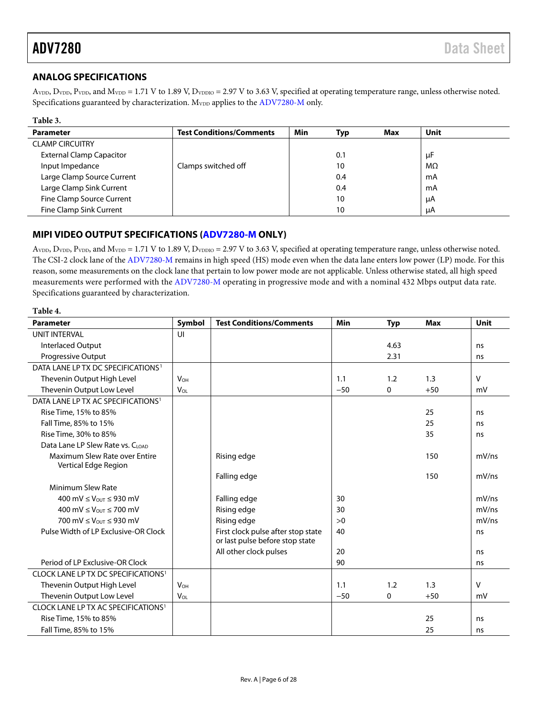**Table 3.**

### <span id="page-6-0"></span>**ANALOG SPECIFICATIONS**

AVDD, DVDD, PVDD, and MVDD = 1.71 V to 1.89 V, DVDDIO = 2.97 V to 3.63 V, specified at operating temperature range, unless otherwise noted. Specifications guaranteed by characterization. M<sub>VDD</sub> applies to th[e ADV7280-M](http://www.analog.com/ADV7280?doc=ADV7280.pdf) only.

| таріе э.                        |                                 |     |            |     |      |
|---------------------------------|---------------------------------|-----|------------|-----|------|
| <b>Parameter</b>                | <b>Test Conditions/Comments</b> | Min | <b>Typ</b> | Max | Unit |
| <b>CLAMP CIRCUITRY</b>          |                                 |     |            |     |      |
| <b>External Clamp Capacitor</b> |                                 |     | 0.1        |     | μF   |
| Input Impedance                 | Clamps switched off             |     | 10         |     | MΩ   |
| Large Clamp Source Current      |                                 |     | 0.4        |     | mA   |
| Large Clamp Sink Current        |                                 |     | 0.4        |     | mA   |
| Fine Clamp Source Current       |                                 |     | 10         |     | μA   |
| Fine Clamp Sink Current         |                                 |     | 10         |     | μA   |
|                                 |                                 |     |            |     |      |

### <span id="page-6-1"></span>**MIPI VIDEO OUTPUT SPECIFICATIONS [\(ADV7280-M](http://www.analog.com/ADV7280?doc=ADV7280.pdf) ONLY)**

AVDD, DVDD, PVDD, and MVDD = 1.71 V to 1.89 V, DVDDIO = 2.97 V to 3.63 V, specified at operating temperature range, unless otherwise noted. The CSI-2 clock lane of the [ADV7280-M](http://www.analog.com/ADV7280?doc=ADV7280.pdf) remains in high speed (HS) mode even when the data lane enters low power (LP) mode. For this reason, some measurements on the clock lane that pertain to low power mode are not applicable. Unless otherwise stated, all high speed measurements were performed with the [ADV7280-M](http://www.analog.com/ADV7280?doc=ADV7280.pdf) operating in progressive mode and with a nominal 432 Mbps output data rate. Specifications guaranteed by characterization.

<span id="page-6-2"></span>

| Table 4.                                              |                       |                                                                       |       |            |            |              |  |  |
|-------------------------------------------------------|-----------------------|-----------------------------------------------------------------------|-------|------------|------------|--------------|--|--|
| <b>Parameter</b>                                      | Symbol                | <b>Test Conditions/Comments</b>                                       | Min   | <b>Typ</b> | <b>Max</b> | Unit         |  |  |
| <b>UNIT INTERVAL</b>                                  | UI                    |                                                                       |       |            |            |              |  |  |
| <b>Interlaced Output</b>                              |                       |                                                                       |       | 4.63       |            | ns           |  |  |
| <b>Progressive Output</b>                             |                       |                                                                       |       | 2.31       |            | ns           |  |  |
| DATA LANE LP TX DC SPECIFICATIONS <sup>1</sup>        |                       |                                                                       |       |            |            |              |  |  |
| Thevenin Output High Level                            | $V_{OH}$              |                                                                       | 1.1   | 1.2        | 1.3        | $\mathsf{V}$ |  |  |
| Thevenin Output Low Level                             | <b>V<sub>OL</sub></b> |                                                                       | $-50$ | 0          | $+50$      | mV           |  |  |
| DATA LANE LP TX AC SPECIFICATIONS <sup>1</sup>        |                       |                                                                       |       |            |            |              |  |  |
| Rise Time, 15% to 85%                                 |                       |                                                                       |       |            | 25         | ns           |  |  |
| Fall Time, 85% to 15%                                 |                       |                                                                       |       |            | 25         | ns           |  |  |
| Rise Time, 30% to 85%                                 |                       |                                                                       |       |            | 35         | ns           |  |  |
| Data Lane LP Slew Rate vs. CLOAD                      |                       |                                                                       |       |            |            |              |  |  |
| Maximum Slew Rate over Entire<br>Vertical Edge Region |                       | Rising edge                                                           |       |            | 150        | mV/ns        |  |  |
|                                                       |                       | Falling edge                                                          |       |            | 150        | mV/ns        |  |  |
| Minimum Slew Rate                                     |                       |                                                                       |       |            |            |              |  |  |
| 400 mV $\leq$ Vout $\leq$ 930 mV                      |                       | Falling edge                                                          | 30    |            |            | mV/ns        |  |  |
| 400 mV $\leq$ $V_{OUT}$ $\leq$ 700 mV                 |                       | Rising edge                                                           | 30    |            |            | mV/ns        |  |  |
| 700 mV $\leq$ Vout $\leq$ 930 mV                      |                       | Rising edge                                                           | >0    |            |            | mV/ns        |  |  |
| Pulse Width of LP Exclusive-OR Clock                  |                       | First clock pulse after stop state<br>or last pulse before stop state | 40    |            |            | ns           |  |  |
|                                                       |                       | All other clock pulses                                                | 20    |            |            | ns           |  |  |
| Period of LP Exclusive-OR Clock                       |                       |                                                                       | 90    |            |            | ns           |  |  |
| CLOCK LANE LP TX DC SPECIFICATIONS <sup>1</sup>       |                       |                                                                       |       |            |            |              |  |  |
| Thevenin Output High Level                            | $V_{OH}$              |                                                                       | 1.1   | 1.2        | 1.3        | $\vee$       |  |  |
| Thevenin Output Low Level                             | $V_{OL}$              |                                                                       | $-50$ | 0          | $+50$      | mV           |  |  |
| CLOCK LANE LP TX AC SPECIFICATIONS <sup>1</sup>       |                       |                                                                       |       |            |            |              |  |  |
| Rise Time, 15% to 85%                                 |                       |                                                                       |       |            | 25         | ns           |  |  |
| Fall Time, 85% to 15%                                 |                       |                                                                       |       |            | 25         | ns           |  |  |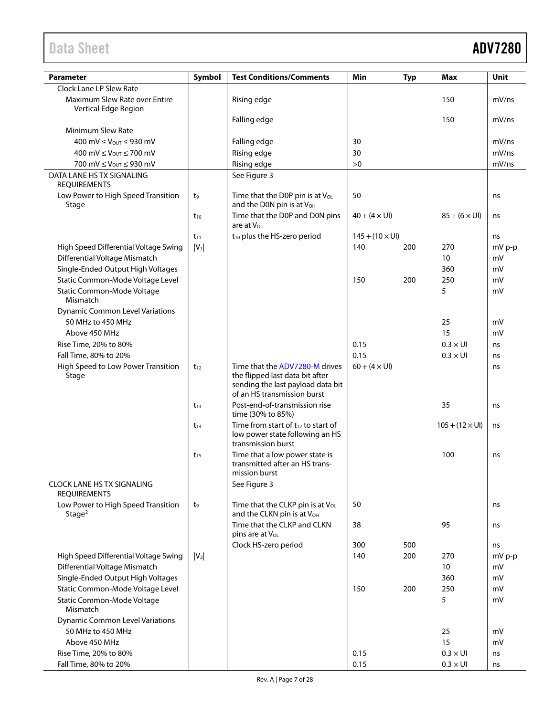## Data Sheet **ADV7280**

| <b>Parameter</b>                                         | Symbol         | <b>Test Conditions/Comments</b>                                                                                                       | Min                           | <b>Typ</b> | <b>Max</b>                    | Unit   |
|----------------------------------------------------------|----------------|---------------------------------------------------------------------------------------------------------------------------------------|-------------------------------|------------|-------------------------------|--------|
| Clock Lane LP Slew Rate                                  |                |                                                                                                                                       |                               |            |                               |        |
| Maximum Slew Rate over Entire<br>Vertical Edge Region    |                | Rising edge                                                                                                                           |                               |            | 150                           | mV/ns  |
| <b>Minimum Slew Rate</b>                                 |                | Falling edge                                                                                                                          |                               |            | 150                           | mV/ns  |
| 400 mV ≤ V <sub>OUT</sub> ≤ 930 mV                       |                | Falling edge                                                                                                                          | 30                            |            |                               | mV/ns  |
|                                                          |                |                                                                                                                                       |                               |            |                               | mV/ns  |
| 400 mV $\leq$ $V_{\text{OUT}} \leq 700$ mV               |                | Rising edge                                                                                                                           | 30                            |            |                               |        |
| 700 mV $\leq$ $V_{\text{OUT}}$ $\leq$ 930 mV             |                | Rising edge                                                                                                                           | >0                            |            |                               | mV/ns  |
| DATA LANE HS TX SIGNALING<br><b>REQUIREMENTS</b>         |                | See Figure 3                                                                                                                          |                               |            |                               |        |
| Low Power to High Speed Transition<br>Stage              | t9             | Time that the D0P pin is at V <sub>OL</sub><br>and the D0N pin is at V <sub>OH</sub>                                                  | 50                            |            |                               | ns     |
|                                                          | $t_{10}$       | Time that the D0P and D0N pins<br>are at $V_{OL}$                                                                                     | $40 + (4 \times UI)$          |            | $85 + (6 \times \text{UI})$   | ns     |
|                                                          | $t_{11}$       | $t_{10}$ plus the HS-zero period                                                                                                      | $145 + (10 \times \text{UI})$ |            |                               | ns     |
| High Speed Differential Voltage Swing                    | $ V_1 $        |                                                                                                                                       | 140                           | 200        | 270                           | mV p-p |
| Differential Voltage Mismatch                            |                |                                                                                                                                       |                               |            | 10                            | mV     |
| Single-Ended Output High Voltages                        |                |                                                                                                                                       |                               |            | 360                           | mV     |
| Static Common-Mode Voltage Level                         |                |                                                                                                                                       | 150                           | 200        | 250                           | mV     |
| Static Common-Mode Voltage<br>Mismatch                   |                |                                                                                                                                       |                               |            | 5                             | mV     |
| <b>Dynamic Common Level Variations</b>                   |                |                                                                                                                                       |                               |            |                               |        |
| 50 MHz to 450 MHz                                        |                |                                                                                                                                       |                               |            | 25                            | mV     |
| Above 450 MHz                                            |                |                                                                                                                                       |                               |            | 15                            | mV     |
| Rise Time, 20% to 80%                                    |                |                                                                                                                                       | 0.15                          |            | $0.3 \times U1$               | ns     |
|                                                          |                |                                                                                                                                       | 0.15                          |            | $0.3 \times U1$               |        |
| Fall Time, 80% to 20%                                    |                |                                                                                                                                       |                               |            |                               | ns     |
| High Speed to Low Power Transition<br>Stage              | $t_{12}$       | Time that the ADV7280-M drives<br>the flipped last data bit after<br>sending the last payload data bit<br>of an HS transmission burst | $60 + (4 \times UI)$          |            |                               | ns     |
|                                                          | $t_{13}$       | Post-end-of-transmission rise<br>time (30% to 85%)                                                                                    |                               |            | 35                            | ns     |
|                                                          | $t_{14}$       | Time from start of $t_{12}$ to start of<br>low power state following an HS<br>transmission burst                                      |                               |            | $105 + (12 \times \text{UI})$ | ns     |
|                                                          | $t_{15}$       | Time that a low power state is<br>transmitted after an HS trans-                                                                      |                               |            | 100                           | ns     |
|                                                          |                | mission burst                                                                                                                         |                               |            |                               |        |
| <b>CLOCK LANE HS TX SIGNALING</b><br><b>REQUIREMENTS</b> |                | See Figure 3                                                                                                                          |                               |            |                               |        |
| Low Power to High Speed Transition<br>Stage <sup>2</sup> | t <sub>9</sub> | Time that the CLKP pin is at VoL<br>and the CLKN pin is at V <sub>OH</sub>                                                            | 50                            |            |                               | ns     |
|                                                          |                | Time that the CLKP and CLKN<br>pins are at V <sub>OL</sub>                                                                            | 38                            |            | 95                            | ns     |
|                                                          |                | Clock HS-zero period                                                                                                                  | 300                           | 500        |                               | ns     |
| High Speed Differential Voltage Swing                    | $ V_2 $        |                                                                                                                                       | 140                           | 200        | 270                           | mV p-p |
| Differential Voltage Mismatch                            |                |                                                                                                                                       |                               |            | 10                            | mV     |
| Single-Ended Output High Voltages                        |                |                                                                                                                                       |                               |            | 360                           | mV     |
| Static Common-Mode Voltage Level                         |                |                                                                                                                                       | 150                           | 200        | 250                           | mV     |
| Static Common-Mode Voltage<br>Mismatch                   |                |                                                                                                                                       |                               |            | 5                             | mV     |
| <b>Dynamic Common Level Variations</b>                   |                |                                                                                                                                       |                               |            |                               |        |
| 50 MHz to 450 MHz                                        |                |                                                                                                                                       |                               |            | 25                            | mV     |
| Above 450 MHz                                            |                |                                                                                                                                       |                               |            | 15                            | mV     |
| Rise Time, 20% to 80%                                    |                |                                                                                                                                       | 0.15                          |            | $0.3 \times U1$               | ns     |
| Fall Time, 80% to 20%                                    |                |                                                                                                                                       | 0.15                          |            | $0.3 \times U1$               | ns     |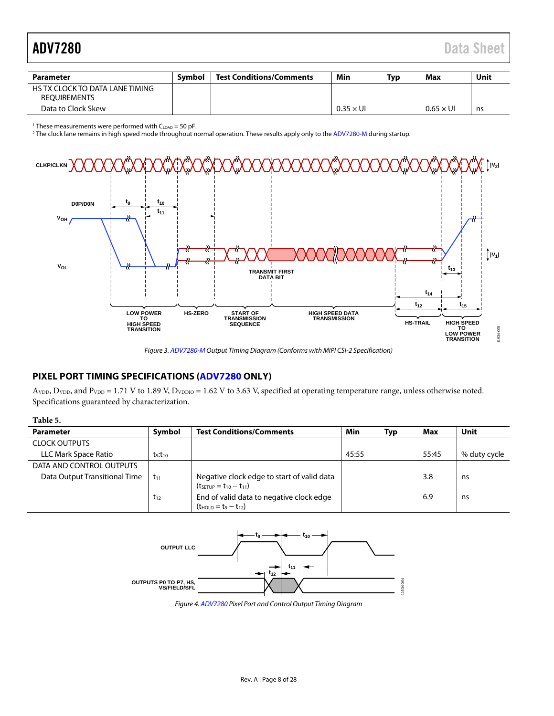# <span id="page-8-1"></span>ADV7280 Data Sheet

| Parameter                                              | Symbol | <b>Test Conditions/Comments</b> | Min              | Tvp | Max              | Unit |
|--------------------------------------------------------|--------|---------------------------------|------------------|-----|------------------|------|
| HS TX CLOCK TO DATA LANE TIMING<br><b>REOUIREMENTS</b> |        |                                 |                  |     |                  |      |
| Data to Clock Skew                                     |        |                                 | $0.35 \times$ UI |     | $0.65 \times$ UI | ns   |

<sup>1</sup> These measurements were performed with  $C_{\text{LOAD}} = 50$  pF.

<sup>2</sup> The clock lane remains in high speed mode throughout normal operation. These results apply only to th[e ADV7280-M](http://www.analog.com/ADV7280?doc=ADV7280.pdf) during startup.



*Figure 3[. ADV7280-M](http://www.analog.com/ADV7280?doc=ADV7280.pdf) Output Timing Diagram (Conforms with MIPI CSI-2 Specification)*

#### <span id="page-8-2"></span><span id="page-8-0"></span>**PIXEL PORT TIMING SPECIFICATIONS [\(ADV7280](http://www.analog.com/ADV7280?doc=ADV7280.pdf) ONLY)**

 $A_{\text{VDD}}$ ,  $D_{\text{VDD}}$ , and  $P_{\text{VDD}} = 1.71$  V to 1.89 V,  $D_{\text{VDDIO}} = 1.62$  V to 3.63 V, specified at operating temperature range, unless otherwise noted. Specifications guaranteed by characterization.

| Table 5.                      |                                 |                                                                                      |       |            |       |              |
|-------------------------------|---------------------------------|--------------------------------------------------------------------------------------|-------|------------|-------|--------------|
| <b>Parameter</b>              | Symbol                          | <b>Test Conditions/Comments</b>                                                      | Min   | <b>Typ</b> | Max   | Unit         |
| <b>CLOCK OUTPUTS</b>          |                                 |                                                                                      |       |            |       |              |
| LLC Mark Space Ratio          | t <sub>9</sub> :t <sub>10</sub> |                                                                                      | 45:55 |            | 55:45 | % duty cycle |
| DATA AND CONTROL OUTPUTS      |                                 |                                                                                      |       |            |       |              |
| Data Output Transitional Time | $t_{11}$                        | Negative clock edge to start of valid data<br>$(t_{\text{SETUP}} = t_{10} - t_{11})$ |       |            | 3.8   | ns           |
|                               | $t_{12}$                        | End of valid data to negative clock edge<br>$(t_{HOLD} = t_9 - t_{12})$              |       |            | 6.9   | ns           |



*Figure 4[. ADV7280](http://www.analog.com/ADV7280?doc=ADV7280.pdf) Pixel Port and Control Output Timing Diagram*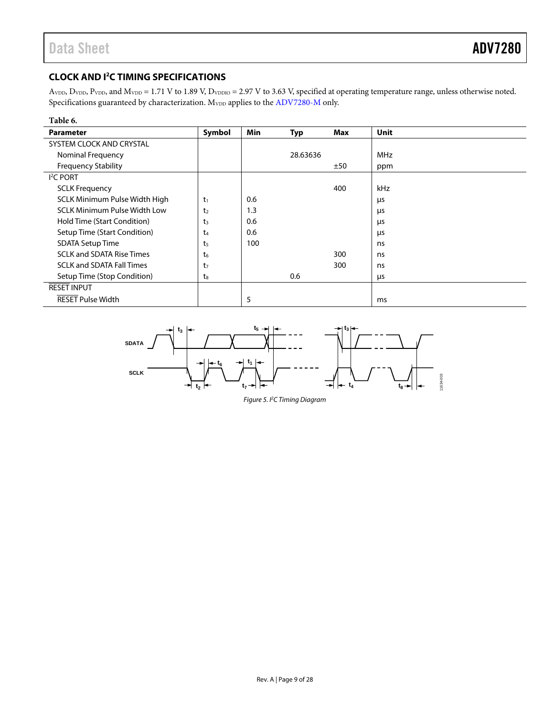### <span id="page-9-0"></span>**CLOCK AND I<sup>2</sup>C TIMING SPECIFICATIONS**

AVDD, DVDD, PVDD, and MVDD = 1.71 V to 1.89 V, DVDDIO = 2.97 V to 3.63 V, specified at operating temperature range, unless otherwise noted. Specifications guaranteed by characterization.  $\rm M_{VDD}$  applies to th[e ADV7280-M](http://www.analog.com/ADV7280?doc=ADV7280.pdf) only.

| Table 6.                            |                |            |          |     |            |
|-------------------------------------|----------------|------------|----------|-----|------------|
| <b>Parameter</b>                    | Symbol         | <b>Min</b> | Typ      | Max | Unit       |
| SYSTEM CLOCK AND CRYSTAL            |                |            |          |     |            |
| Nominal Frequency                   |                |            | 28.63636 |     | <b>MHz</b> |
| <b>Frequency Stability</b>          |                |            |          | ±50 | ppm        |
| <sup>2</sup> C PORT                 |                |            |          |     |            |
| <b>SCLK Frequency</b>               |                |            |          | 400 | <b>kHz</b> |
| SCLK Minimum Pulse Width High       | $t_1$          | 0.6        |          |     | μs         |
| <b>SCLK Minimum Pulse Width Low</b> | t <sub>2</sub> | 1.3        |          |     | μs         |
| Hold Time (Start Condition)         | t <sub>3</sub> | 0.6        |          |     | μs         |
| Setup Time (Start Condition)        | t <sub>4</sub> | 0.6        |          |     | μs         |
| <b>SDATA Setup Time</b>             | t <sub>5</sub> | 100        |          |     | ns         |
| <b>SCLK and SDATA Rise Times</b>    | $t_6$          |            |          | 300 | ns         |
| <b>SCLK and SDATA Fall Times</b>    | t <sub>7</sub> |            |          | 300 | ns         |
| Setup Time (Stop Condition)         | $t_8$          |            | 0.6      |     | μs         |
| <b>RESET INPUT</b>                  |                |            |          |     |            |
| <b>RESET Pulse Width</b>            |                | 5          |          |     | ms         |



*Figure 5. I2 C Timing Diagram*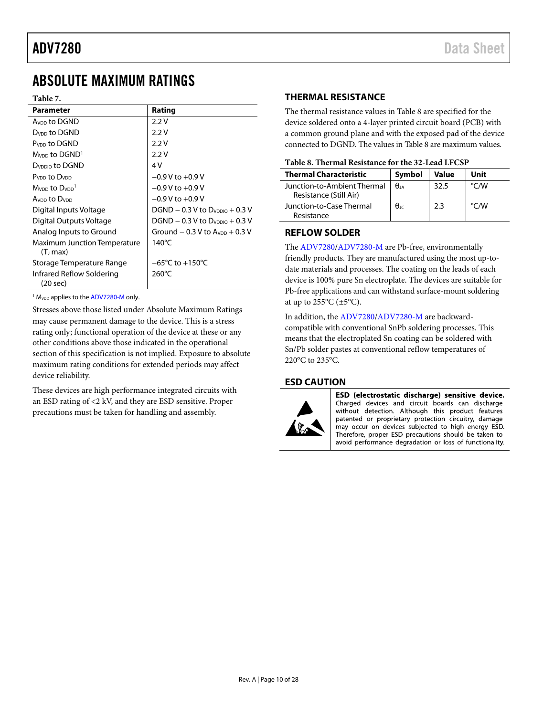### <span id="page-10-0"></span>ABSOLUTE MAXIMUM RATINGS

#### **Table 7.**

| <b>Parameter</b>                                | Rating                               |
|-------------------------------------------------|--------------------------------------|
| Avon to DGND                                    | 2.2V                                 |
| D <sub>vnn</sub> to DGND                        | 2.2V                                 |
| P <sub>VDD</sub> to DGND                        | 2.2V                                 |
| $MVDD$ to DGND <sup>1</sup>                     | 2.2V                                 |
| D <sub>VDDIO</sub> to DGND                      | 4V                                   |
| Pynn to Dynn                                    | $-0.9$ V to $+0.9$ V                 |
| Mynn to Dynn <sup>1</sup>                       | $-0.9$ V to $+0.9$ V                 |
| Avon to D <sub>von</sub>                        | $-0.9$ V to $+0.9$ V                 |
| Digital Inputs Voltage                          | $DGND - 0.3 V$ to $Dv_{DDO} + 0.3 V$ |
| Digital Outputs Voltage                         | $DGND - 0.3 V$ to $D_{VDIO} + 0.3 V$ |
| Analog Inputs to Ground                         | Ground $-0.3$ V to $AVDD + 0.3$ V    |
| <b>Maximum Junction Temperature</b><br>(Tı max) | 140 $^{\circ}$ C                     |
| Storage Temperature Range                       | $-65^{\circ}$ C to +150 $^{\circ}$ C |
| Infrared Reflow Soldering<br>(20 sec)           | $260^{\circ}$ C                      |

<sup>1</sup> M<sub>VDD</sub> applies to th[e ADV7280-M](http://www.analog.com/ADV7280?doc=ADV7280.pdf) only.

Stresses above those listed under Absolute Maximum Ratings may cause permanent damage to the device. This is a stress rating only; functional operation of the device at these or any other conditions above those indicated in the operational section of this specification is not implied. Exposure to absolute maximum rating conditions for extended periods may affect device reliability.

These devices are high performance integrated circuits with an ESD rating of <2 kV, and they are ESD sensitive. Proper precautions must be taken for handling and assembly.

### <span id="page-10-1"></span>**THERMAL RESISTANCE**

The thermal resistance values in [Table 8](#page-10-4) are specified for the device soldered onto a 4-layer printed circuit board (PCB) with a common ground plane and with the exposed pad of the device connected to DGND. The values i[n Table 8](#page-10-4) are maximum values.

<span id="page-10-4"></span>

| Table 8. Thermal Resistance for the 32-Lead LFCSP |  |
|---------------------------------------------------|--|
|---------------------------------------------------|--|

| <b>Thermal Characteristic</b>                         | Symbol            | <b>Value</b> | Unit          |
|-------------------------------------------------------|-------------------|--------------|---------------|
| Junction-to-Ambient Thermal<br>Resistance (Still Air) | $\theta$ ia       | 32.5         | $\degree$ C/W |
| Junction-to-Case Thermal<br>Resistance                | $\theta_{\rm IC}$ | 2.3          | °C/W          |

#### <span id="page-10-2"></span>**REFLOW SOLDER**

The [ADV7280/ADV7280-M](http://www.analog.com/ADV7280?doc=ADV7280.PDF) are Pb-free, environmentally friendly products. They are manufactured using the most up-todate materials and processes. The coating on the leads of each device is 100% pure Sn electroplate. The devices are suitable for Pb-free applications and can withstand surface-mount soldering at up to  $255^{\circ}$ C ( $\pm 5^{\circ}$ C).

In addition, the [ADV7280/ADV7280-M](http://www.analog.com/ADV7280?doc=ADV7280.PDF) are backwardcompatible with conventional SnPb soldering processes. This means that the electroplated Sn coating can be soldered with Sn/Pb solder pastes at conventional reflow temperatures of 220°C to 235°C.

### <span id="page-10-3"></span>**ESD CAUTION**



ESD (electrostatic discharge) sensitive device. Charged devices and circuit boards can discharge without detection. Although this product features patented or proprietary protection circuitry, damage may occur on devices subjected to high energy ESD. Therefore, proper ESD precautions should be taken to avoid performance degradation or loss of functionality.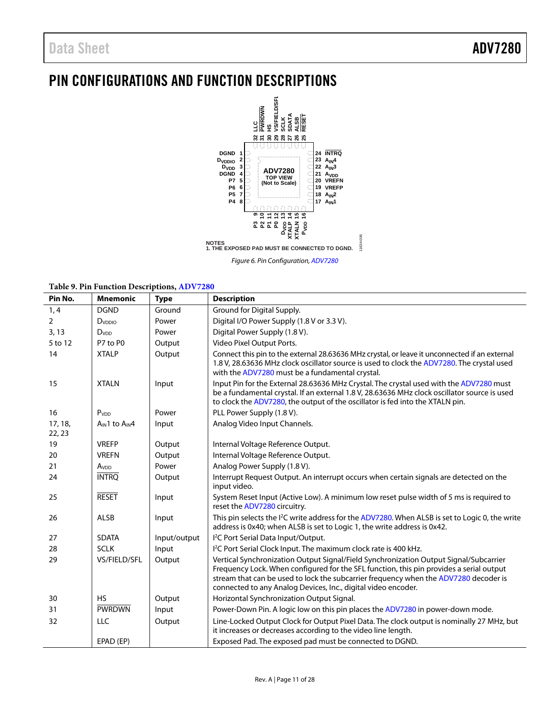### <span id="page-11-0"></span>PIN CONFIGURATIONS AND FUNCTION DESCRIPTIONS



*Figure 6. Pin Configuration[, ADV7280](http://www.analog.com/ADV7280?doc=ADV7280.pdf)*

**Table 9. Pin Function Descriptions[, ADV7280](http://www.analog.com/ADV7280?doc=ADV7280.pdf)**

| Pin No.           | <b>Mnemonic</b>  | <b>Type</b>  | <b>Description</b>                                                                                                                                                                                                                                                                                                                        |
|-------------------|------------------|--------------|-------------------------------------------------------------------------------------------------------------------------------------------------------------------------------------------------------------------------------------------------------------------------------------------------------------------------------------------|
| 1, 4              | <b>DGND</b>      | Ground       | Ground for Digital Supply.                                                                                                                                                                                                                                                                                                                |
| $\overline{2}$    | DVDDIO           | Power        | Digital I/O Power Supply (1.8 V or 3.3 V).                                                                                                                                                                                                                                                                                                |
| 3, 13             | D <sub>VDD</sub> | Power        | Digital Power Supply (1.8 V).                                                                                                                                                                                                                                                                                                             |
| 5 to 12           | P7 to P0         | Output       | Video Pixel Output Ports.                                                                                                                                                                                                                                                                                                                 |
| 14                | <b>XTALP</b>     | Output       | Connect this pin to the external 28.63636 MHz crystal, or leave it unconnected if an external<br>1.8 V, 28.63636 MHz clock oscillator source is used to clock the ADV7280. The crystal used<br>with the ADV7280 must be a fundamental crystal.                                                                                            |
| 15                | <b>XTALN</b>     | Input        | Input Pin for the External 28.63636 MHz Crystal. The crystal used with the ADV7280 must<br>be a fundamental crystal. If an external 1.8 V, 28.63636 MHz clock oscillator source is used<br>to clock the ADV7280, the output of the oscillator is fed into the XTALN pin.                                                                  |
| 16                | P <sub>VDD</sub> | Power        | PLL Power Supply (1.8 V).                                                                                                                                                                                                                                                                                                                 |
| 17, 18,<br>22, 23 | AIN1 to AIN4     | Input        | Analog Video Input Channels.                                                                                                                                                                                                                                                                                                              |
| 19                | <b>VREFP</b>     | Output       | Internal Voltage Reference Output.                                                                                                                                                                                                                                                                                                        |
| 20                | <b>VREFN</b>     | Output       | Internal Voltage Reference Output.                                                                                                                                                                                                                                                                                                        |
| 21                | Av <sub>DD</sub> | Power        | Analog Power Supply (1.8 V).                                                                                                                                                                                                                                                                                                              |
| 24                | <b>INTRQ</b>     | Output       | Interrupt Request Output. An interrupt occurs when certain signals are detected on the<br>input video.                                                                                                                                                                                                                                    |
| 25                | <b>RESET</b>     | Input        | System Reset Input (Active Low). A minimum low reset pulse width of 5 ms is required to<br>reset the ADV7280 circuitry.                                                                                                                                                                                                                   |
| 26                | <b>ALSB</b>      | Input        | This pin selects the I <sup>2</sup> C write address for the ADV7280. When ALSB is set to Logic 0, the write<br>address is 0x40; when ALSB is set to Logic 1, the write address is 0x42.                                                                                                                                                   |
| 27                | <b>SDATA</b>     | Input/output | I <sup>2</sup> C Port Serial Data Input/Output.                                                                                                                                                                                                                                                                                           |
| 28                | <b>SCLK</b>      | Input        | I <sup>2</sup> C Port Serial Clock Input. The maximum clock rate is 400 kHz.                                                                                                                                                                                                                                                              |
| 29                | VS/FIELD/SFL     | Output       | Vertical Synchronization Output Signal/Field Synchronization Output Signal/Subcarrier<br>Frequency Lock. When configured for the SFL function, this pin provides a serial output<br>stream that can be used to lock the subcarrier frequency when the ADV7280 decoder is<br>connected to any Analog Devices, Inc., digital video encoder. |
| 30                | <b>HS</b>        | Output       | Horizontal Synchronization Output Signal.                                                                                                                                                                                                                                                                                                 |
| 31                | <b>PWRDWN</b>    | Input        | Power-Down Pin. A logic low on this pin places the ADV7280 in power-down mode.                                                                                                                                                                                                                                                            |
| 32                | LLC              | Output       | Line-Locked Output Clock for Output Pixel Data. The clock output is nominally 27 MHz, but<br>it increases or decreases according to the video line length.                                                                                                                                                                                |
|                   | EPAD (EP)        |              | Exposed Pad. The exposed pad must be connected to DGND.                                                                                                                                                                                                                                                                                   |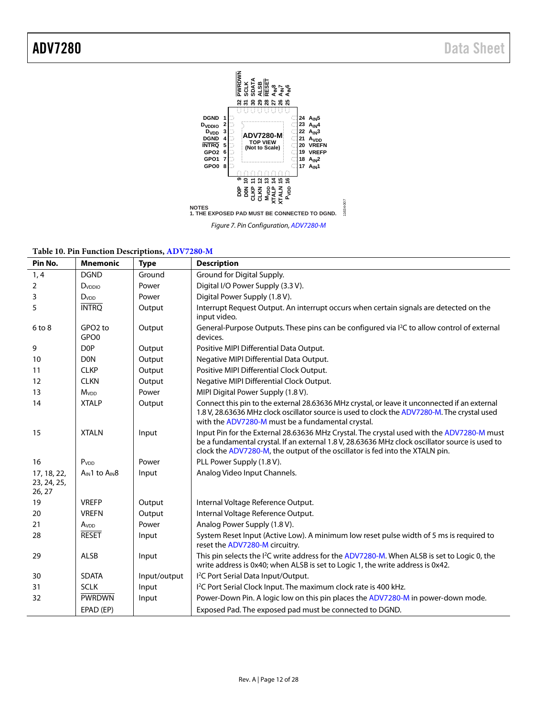

*Figure 7. Pin Configuration[, ADV7280-M](http://www.analog.com/ADV7280?doc=ADV7280.pdf)*

|  |  |  | Table 10. Pin Function Descriptions, ADV7280-M |  |
|--|--|--|------------------------------------------------|--|
|--|--|--|------------------------------------------------|--|

| Pin No.                              | <b>Mnemonic</b>                         | <b>Type</b>  | <b>Description</b>                                                                                                                                                                                                                                                           |
|--------------------------------------|-----------------------------------------|--------------|------------------------------------------------------------------------------------------------------------------------------------------------------------------------------------------------------------------------------------------------------------------------------|
| 1, 4                                 | <b>DGND</b>                             | Ground       | Ground for Digital Supply.                                                                                                                                                                                                                                                   |
| 2                                    | D <sub>VDDIO</sub>                      | Power        | Digital I/O Power Supply (3.3 V).                                                                                                                                                                                                                                            |
| 3                                    | <b>D</b> <sub>vDD</sub>                 | Power        | Digital Power Supply (1.8 V).                                                                                                                                                                                                                                                |
| 5                                    | <b>INTRO</b>                            | Output       | Interrupt Request Output. An interrupt occurs when certain signals are detected on the<br>input video.                                                                                                                                                                       |
| $6$ to $8$                           | GPO <sub>2</sub> to<br>GPO <sub>0</sub> | Output       | General-Purpose Outputs. These pins can be configured via I <sup>2</sup> C to allow control of external<br>devices.                                                                                                                                                          |
| 9                                    | D <sub>OP</sub>                         | Output       | Positive MIPI Differential Data Output.                                                                                                                                                                                                                                      |
| 10                                   | <b>DON</b>                              | Output       | Negative MIPI Differential Data Output.                                                                                                                                                                                                                                      |
| 11                                   | <b>CLKP</b>                             | Output       | Positive MIPI Differential Clock Output.                                                                                                                                                                                                                                     |
| 12                                   | <b>CLKN</b>                             | Output       | Negative MIPI Differential Clock Output.                                                                                                                                                                                                                                     |
| 13                                   | <b>M</b> <sub>vDD</sub>                 | Power        | MIPI Digital Power Supply (1.8 V).                                                                                                                                                                                                                                           |
| 14                                   | <b>XTALP</b>                            | Output       | Connect this pin to the external 28.63636 MHz crystal, or leave it unconnected if an external<br>1.8 V, 28.63636 MHz clock oscillator source is used to clock the ADV7280-M. The crystal used<br>with the ADV7280-M must be a fundamental crystal.                           |
| 15                                   | <b>XTALN</b>                            | Input        | Input Pin for the External 28.63636 MHz Crystal. The crystal used with the ADV7280-M must<br>be a fundamental crystal. If an external 1.8 V, 28.63636 MHz clock oscillator source is used to<br>clock the ADV7280-M, the output of the oscillator is fed into the XTALN pin. |
| 16                                   | P <sub>VDD</sub>                        | Power        | PLL Power Supply (1.8 V).                                                                                                                                                                                                                                                    |
| 17, 18, 22,<br>23, 24, 25,<br>26, 27 | A <sub>IN</sub> 1 to A <sub>IN</sub> 8  | Input        | Analog Video Input Channels.                                                                                                                                                                                                                                                 |
| 19                                   | <b>VREFP</b>                            | Output       | Internal Voltage Reference Output.                                                                                                                                                                                                                                           |
| 20                                   | <b>VREFN</b>                            | Output       | Internal Voltage Reference Output.                                                                                                                                                                                                                                           |
| 21                                   | A <sub>VDD</sub>                        | Power        | Analog Power Supply (1.8 V).                                                                                                                                                                                                                                                 |
| 28                                   | <b>RESET</b>                            | Input        | System Reset Input (Active Low). A minimum low reset pulse width of 5 ms is required to<br>reset the ADV7280-M circuitry.                                                                                                                                                    |
| 29                                   | ALSB                                    | Input        | This pin selects the $l^2C$ write address for the ADV7280-M. When ALSB is set to Logic 0, the<br>write address is 0x40; when ALSB is set to Logic 1, the write address is 0x42.                                                                                              |
| 30                                   | <b>SDATA</b>                            | Input/output | I <sup>2</sup> C Port Serial Data Input/Output.                                                                                                                                                                                                                              |
| 31                                   | <b>SCLK</b>                             | Input        | I <sup>2</sup> C Port Serial Clock Input. The maximum clock rate is 400 kHz.                                                                                                                                                                                                 |
| 32                                   | <b>PWRDWN</b>                           | Input        | Power-Down Pin. A logic low on this pin places the ADV7280-M in power-down mode.                                                                                                                                                                                             |
|                                      | EPAD (EP)                               |              | Exposed Pad. The exposed pad must be connected to DGND.                                                                                                                                                                                                                      |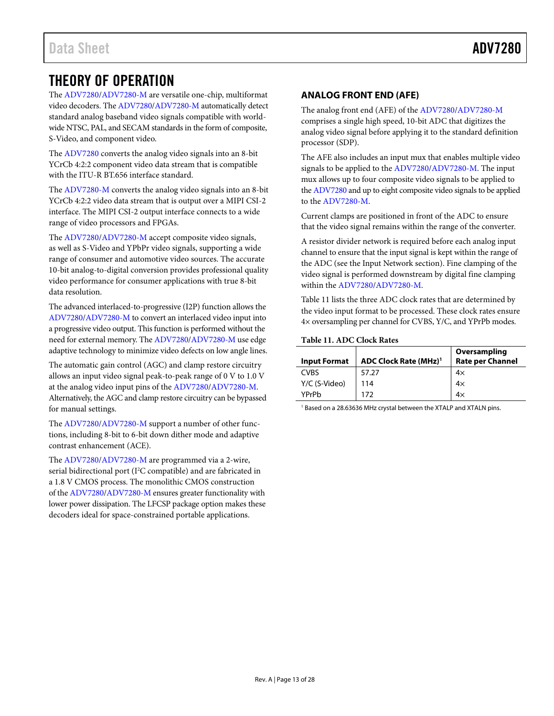### <span id="page-13-0"></span>THEORY OF OPERATION

The [ADV7280/ADV7280-M](http://www.analog.com/ADV7280?doc=ADV7280.pdf) are versatile one-chip, multiformat video decoders. Th[e ADV7280/ADV7280-M](http://www.analog.com/ADV7280?doc=ADV7280.pdf) automatically detect standard analog baseband video signals compatible with worldwide NTSC, PAL, and SECAM standards in the form of composite, S-Video, and component video.

The [ADV7280](http://www.analog.com/ADV7280?doc=ADV7280.pdf) converts the analog video signals into an 8-bit YCrCb 4:2:2 component video data stream that is compatible with the ITU-R BT.656 interface standard.

The [ADV7280-M](http://www.analog.com/ADV7280?doc=ADV7280.pdf) converts the analog video signals into an 8-bit YCrCb 4:2:2 video data stream that is output over a MIPI CSI-2 interface. The MIPI CSI-2 output interface connects to a wide range of video processors and FPGAs.

The [ADV7280/ADV7280-M](http://www.analog.com/ADV7280?doc=ADV7280.pdf) accept composite video signals, as well as S-Video and YPbPr video signals, supporting a wide range of consumer and automotive video sources. The accurate 10-bit analog-to-digital conversion provides professional quality video performance for consumer applications with true 8-bit data resolution.

The advanced interlaced-to-progressive (I2P) function allows the [ADV7280/ADV7280-M](http://www.analog.com/ADV7280?doc=ADV7280.pdf) to convert an interlaced video input into a progressive video output. This function is performed without the need for external memory. Th[e ADV7280/ADV7280-M](http://www.analog.com/ADV7280?doc=ADV7280.pdf) use edge adaptive technology to minimize video defects on low angle lines.

The automatic gain control (AGC) and clamp restore circuitry allows an input video signal peak-to-peak range of 0 V to 1.0 V at the analog video input pins of the [ADV7280/ADV7280-M.](http://www.analog.com/ADV7280?doc=ADV7280.pdf)  Alternatively, the AGC and clamp restore circuitry can be bypassed for manual settings.

The [ADV7280/ADV7280-M](http://www.analog.com/ADV7280?doc=ADV7280.pdf) support a number of other functions, including 8-bit to 6-bit down dither mode and adaptive contrast enhancement (ACE).

The [ADV7280/ADV7280-M](http://www.analog.com/ADV7280?doc=ADV7280.pdf) are programmed via a 2-wire, serial bidirectional port (I<sup>2</sup>C compatible) and are fabricated in a 1.8 V CMOS process. The monolithic CMOS construction of th[e ADV7280/ADV7280-M](http://www.analog.com/ADV7280?doc=ADV7280.pdf) ensures greater functionality with lower power dissipation. The LFCSP package option makes these decoders ideal for space-constrained portable applications.

### <span id="page-13-1"></span>**ANALOG FRONT END (AFE)**

The analog front end (AFE) of th[e ADV7280/ADV7280-M](http://www.analog.com/ADV7280?doc=ADV7280.pdf) comprises a single high speed, 10-bit ADC that digitizes the analog video signal before applying it to the standard definition processor (SDP).

The AFE also includes an input mux that enables multiple video signals to be applied to the [ADV7280/ADV7280-M.](http://www.analog.com/ADV7280?doc=ADV7280.pdf) The input mux allows up to four composite video signals to be applied to th[e ADV7280](http://www.analog.com/ADV7280?doc=ADV7280.pdf) and up to eight composite video signals to be applied to the [ADV7280-M.](http://www.analog.com/ADV7280?doc=ADV7280.pdf)

Current clamps are positioned in front of the ADC to ensure that the video signal remains within the range of the converter.

A resistor divider network is required before each analog input channel to ensure that the input signal is kept within the range of the ADC (see th[e Input Network](#page-16-0) section). Fine clamping of the video signal is performed downstream by digital fine clamping within the [ADV7280/ADV7280-M.](http://www.analog.com/ADV7280?doc=ADV7280.pdf)

[Table 11](#page-13-2) lists the three ADC clock rates that are determined by the video input format to be processed. These clock rates ensure 4× oversampling per channel for CVBS, Y/C, and YPrPb modes.

#### <span id="page-13-2"></span>**Table 11. ADC Clock Rates**

| <b>Input Format</b> | <b>ADC Clock Rate (MHz)<sup>1</sup></b> | Oversampling<br><b>Rate per Channel</b> |
|---------------------|-----------------------------------------|-----------------------------------------|
| <b>CVBS</b>         | 57.27                                   | $4\times$                               |
| Y/C (S-Video)       | 114                                     | $4\times$                               |
| YPrPh               | 172                                     | $4\times$                               |

<sup>1</sup> Based on a 28.63636 MHz crystal between the XTALP and XTALN pins.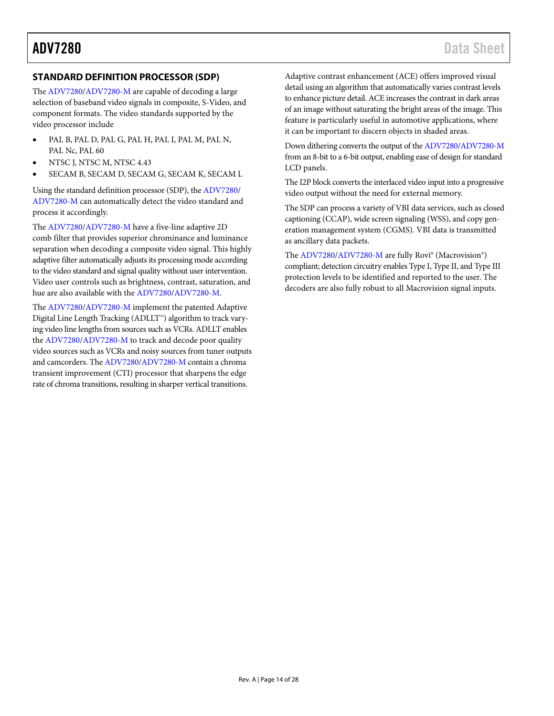### <span id="page-14-0"></span>**STANDARD DEFINITION PROCESSOR (SDP)**

The [ADV7280/ADV7280-M](http://www.analog.com/ADV7280?doc=ADV7280.pdf) are capable of decoding a large selection of baseband video signals in composite, S-Video, and component formats. The video standards supported by the video processor include

- PAL B, PAL D, PAL G, PAL H, PAL I, PAL M, PAL N, PAL Nc, PAL 60
- NTSC J, NTSC M, NTSC 4.43
- SECAM B, SECAM D, SECAM G, SECAM K, SECAM L

Using the standard definition processor (SDP), th[e ADV7280/](http://www.analog.com/ADV7280?doc=ADV7280.pdf) [ADV7280-M](http://www.analog.com/ADV7280?doc=ADV7280.pdf) can automatically detect the video standard and process it accordingly.

The [ADV7280/ADV7280-M](http://www.analog.com/ADV7280?doc=ADV7280.pdf) have a five-line adaptive 2D comb filter that provides superior chrominance and luminance separation when decoding a composite video signal. This highly adaptive filter automatically adjusts its processing mode according to the video standard and signal quality without user intervention. Video user controls such as brightness, contrast, saturation, and hue are also available with the [ADV7280/ADV7280-M.](http://www.analog.com/ADV7280?doc=ADV7280.pdf)

The [ADV7280/ADV7280-M](http://www.analog.com/ADV7280?doc=ADV7280.pdf) implement the patented Adaptive Digital Line Length Tracking (ADLLT™) algorithm to track varying video line lengths from sources such as VCRs. ADLLT enables the [ADV7280/ADV7280-M](http://www.analog.com/ADV7280?doc=ADV7280.pdf) to track and decode poor quality video sources such as VCRs and noisy sources from tuner outputs and camcorders. The [ADV7280/ADV7280-M](http://www.analog.com/ADV7280?doc=ADV7280.pdf) contain a chroma transient improvement (CTI) processor that sharpens the edge rate of chroma transitions, resulting in sharper vertical transitions.

Adaptive contrast enhancement (ACE) offers improved visual detail using an algorithm that automatically varies contrast levels to enhance picture detail. ACE increases the contrast in dark areas of an image without saturating the bright areas of the image. This feature is particularly useful in automotive applications, where it can be important to discern objects in shaded areas.

Down dithering converts the output of th[e ADV7280/ADV7280-M](http://www.analog.com/ADV7280?doc=ADV7280.pdf) from an 8-bit to a 6-bit output, enabling ease of design for standard LCD panels.

The I2P block converts the interlaced video input into a progressive video output without the need for external memory.

The SDP can process a variety of VBI data services, such as closed captioning (CCAP), wide screen signaling (WSS), and copy generation management system (CGMS). VBI data is transmitted as ancillary data packets.

The [ADV7280/ADV7280-M](http://www.analog.com/ADV7280?doc=ADV7280.pdf) are fully Rovi® (Macrovision®) compliant; detection circuitry enables Type I, Type II, and Type III protection levels to be identified and reported to the user. The decoders are also fully robust to all Macrovision signal inputs.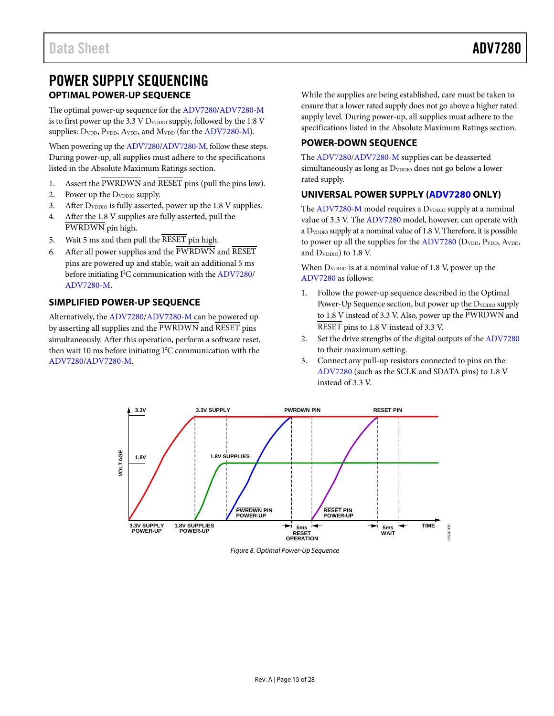### <span id="page-15-0"></span>POWER SUPPLY SEQUENCING **OPTIMAL POWER-UP SEQUENCE**

<span id="page-15-1"></span>The optimal power-up sequence for th[e ADV7280/ADV7280-M](http://www.analog.com/ADV7280?doc=ADV7280.pdf) is to first power up the 3.3 V  $D_{\text{VDDO}}$  supply, followed by the 1.8 V supplies: D<sub>VDD</sub>, P<sub>VDD</sub>, A<sub>VDD</sub>, and M<sub>VDD</sub> (for the [ADV7280-M\)](http://www.analog.com/ADV7280?doc=ADV7280.pdf).

When powering up th[e ADV7280/ADV7280-M,](http://www.analog.com/ADV7280?doc=ADV7280.pdf) follow these steps. During power-up, all supplies must adhere to the specifications listed in th[e Absolute Maximum Ratings](#page-10-0) section.

- 1. Assert the PWRDWN and RESET pins (pull the pins low).
- 2. Power up the D<sub>VDDIO</sub> supply.
- 3. After D<sub>VDDIO</sub> is fully asserted, power up the 1.8 V supplies.
- 4. After the 1.8 V supplies are fully asserted, pull the PWRDWN pin high.
- 5. Wait 5 ms and then pull the RESET pin high.
- 6. After all power supplies and the PWRDWN and RESET pins are powered up and stable, wait an additional 5 ms before initiating I<sup>2</sup>C communication with th[e ADV7280/](http://www.analog.com/ADV7280?doc=ADV7280.pdf) [ADV7280-M.](http://www.analog.com/ADV7280?doc=ADV7280.pdf)

### <span id="page-15-2"></span>**SIMPLIFIED POWER-UP SEQUENCE**

Alternatively, th[e ADV7280/ADV7280-M](http://www.analog.com/ADV7280?doc=ADV7280.pdf) can be powered up by asserting all supplies and the PWRDWN and RESET pins simultaneously. After this operation, perform a software reset, then wait 10 ms before initiating I 2 C communication with the [ADV7280/ADV7280-M.](http://www.analog.com/ADV7280?doc=ADV7280.pdf)

While the supplies are being established, care must be taken to ensure that a lower rated supply does not go above a higher rated supply level. During power-up, all supplies must adhere to the specifications listed in the [Absolute Maximum Ratings](#page-10-0) section.

#### <span id="page-15-3"></span>**POWER-DOWN SEQUENCE**

The [ADV7280/ADV7280-M](http://www.analog.com/ADV7280?doc=ADV7280.pdf) supplies can be deasserted simultaneously as long as D<sub>VDDIO</sub> does not go below a lower rated supply.

### <span id="page-15-4"></span>**UNIVERSAL POWER SUPPLY [\(ADV7280](http://www.analog.com/ADV7280?doc=ADV7280.pdf) ONLY)**

The  $ADV7280-M$  model requires a  $D_{VDDO}$  supply at a nominal value of 3.3 V. The [ADV7280](http://www.analog.com/ADV7280?doc=ADV7280.pdf) model, however, can operate with a  $D_{\text{VDDO}}$  supply at a nominal value of 1.8 V. Therefore, it is possible to power up all the supplies for th[e ADV7280](http://www.analog.com/ADV7280?doc=ADV7280.pdf) (DVDD, PVDD, AVDD, and D<sub>VDDIO</sub>) to 1.8 V.

When  $D_{\text{VDDIO}}$  is at a nominal value of 1.8 V, power up the [ADV7280](http://www.analog.com/ADV7280?doc=ADV7280.pdf) as follows:

- 1. Follow the power-up sequence described in the [Optimal](#page-15-1)  [Power-Up Sequence](#page-15-1) section, but power up the D<sub>VDDIO</sub> supply to 1.8 V instead of 3.3 V. Also, power up the PWRDWN and RESET pins to 1.8 V instead of 3.3 V.
- 2. Set the drive strengths of the digital outputs of the [ADV7280](http://www.analog.com/ADV7280?doc=ADV7280.pdf) to their maximum setting.
- 3. Connect any pull-up resistors connected to pins on the [ADV7280](http://www.analog.com/ADV7280?doc=ADV7280.pdf) (such as the SCLK and SDATA pins) to 1.8 V instead of 3.3 V.



*Figure 8. Optimal Power-Up Sequence*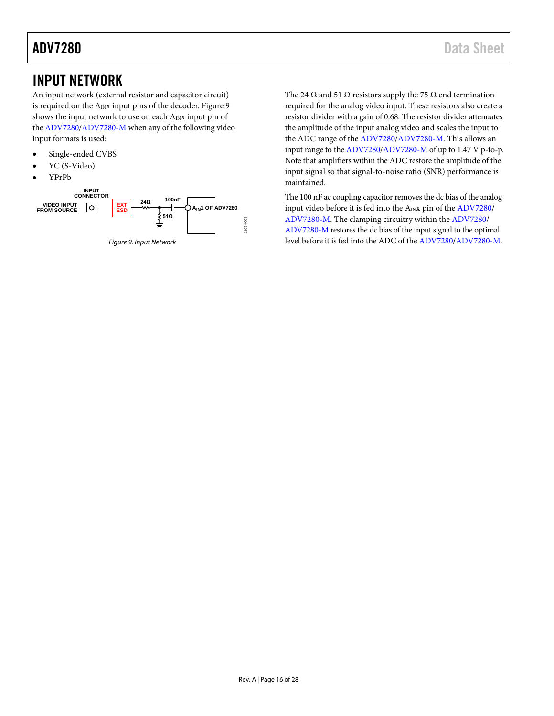### <span id="page-16-0"></span>INPUT NETWORK

An input network (external resistor and capacitor circuit) is required on the  $A_{IN}x$  input pins of the decoder. [Figure 9](#page-16-1) shows the input network to use on each  $A_{IN}x$  input pin of the [ADV7280/ADV7280-M](http://www.analog.com/ADV7280?doc=ADV7280.pdf) when any of the following video input formats is used:

- Single-ended CVBS
- YC (S-Video)
- YPrPb

<span id="page-16-1"></span>

*Figure 9. Input Network*

The 24  $\Omega$  and 51  $\Omega$  resistors supply the 75  $\Omega$  end termination required for the analog video input. These resistors also create a resistor divider with a gain of 0.68. The resistor divider attenuates the amplitude of the input analog video and scales the input to the ADC range of th[e ADV7280/ADV7280-M.](http://www.analog.com/ADV7280?doc=ADV7280.pdf) This allows an input range to the [ADV7280/ADV7280-M](http://www.analog.com/ADV7280?doc=ADV7280.pdf) of up to 1.47 V p-to-p. Note that amplifiers within the ADC restore the amplitude of the input signal so that signal-to-noise ratio (SNR) performance is maintained.

The 100 nF ac coupling capacitor removes the dc bias of the analog input video before it is fed into the A<sub>IN</sub>x pin of th[e ADV7280/](http://www.analog.com/ADV7280?doc=ADV7280.pdf) [ADV7280-M.](http://www.analog.com/ADV7280?doc=ADV7280.pdf) The clamping circuitry within th[e ADV7280/](http://www.analog.com/ADV7280?doc=ADV7280.pdf) [ADV7280-M](http://www.analog.com/ADV7280?doc=ADV7280.pdf) restores the dc bias of the input signal to the optimal level before it is fed into the ADC of th[e ADV7280/ADV7280-M.](http://www.analog.com/ADV7280?doc=ADV7280.pdf)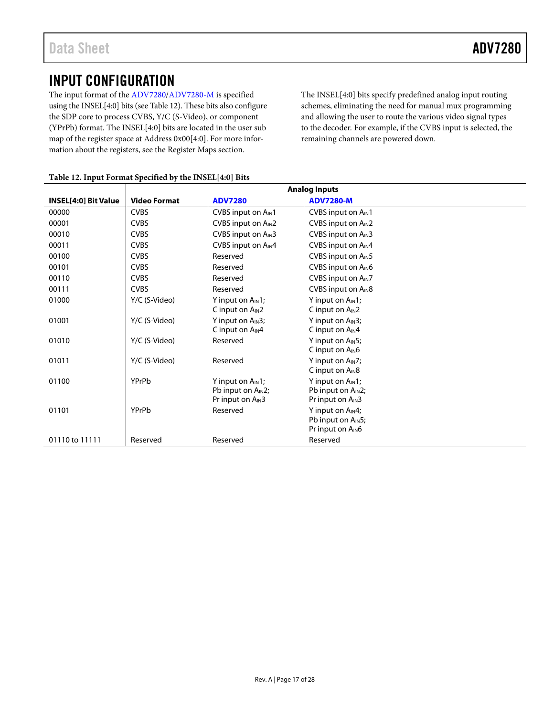### <span id="page-17-0"></span>INPUT CONFIGURATION

The input format of the [ADV7280/ADV7280-M](http://www.analog.com/ADV7280?doc=ADV7280.pdf) is specified using the INSEL[4:0] bits (see [Table 12\)](#page-17-1). These bits also configure the SDP core to process CVBS, Y/C (S-Video), or component (YPrPb) format. The INSEL[4:0] bits are located in the user sub map of the register space at Address 0x00[4:0]. For more information about the registers, see th[e Register Maps](#page-23-0) section.

The INSEL[4:0] bits specify predefined analog input routing schemes, eliminating the need for manual mux programming and allowing the user to route the various video signal types to the decoder. For example, if the CVBS input is selected, the remaining channels are powered down.

|                             |                     |                                                                                           | <b>Analog Inputs</b>                                                                      |
|-----------------------------|---------------------|-------------------------------------------------------------------------------------------|-------------------------------------------------------------------------------------------|
| <b>INSEL[4:0] Bit Value</b> | <b>Video Format</b> | <b>ADV7280</b>                                                                            | <b>ADV7280-M</b>                                                                          |
| 00000                       | <b>CVBS</b>         | CVBS input on A <sub>IN</sub> 1                                                           | CVBS input on A <sub>IN</sub> 1                                                           |
| 00001                       | <b>CVBS</b>         | CVBS input on A <sub>IN</sub> 2                                                           | CVBS input on A <sub>IN</sub> 2                                                           |
| 00010                       | <b>CVBS</b>         | CVBS input on A <sub>IN</sub> 3                                                           | CVBS input on A <sub>IN</sub> 3                                                           |
| 00011                       | <b>CVBS</b>         | CVBS input on AIN4                                                                        | CVBS input on A <sub>IN</sub> 4                                                           |
| 00100                       | <b>CVBS</b>         | Reserved                                                                                  | CVBS input on A <sub>IN</sub> 5                                                           |
| 00101                       | <b>CVBS</b>         | Reserved                                                                                  | CVBS input on A <sub>IN</sub> 6                                                           |
| 00110                       | <b>CVBS</b>         | Reserved                                                                                  | CVBS input on A <sub>IN</sub> 7                                                           |
| 00111                       | <b>CVBS</b>         | Reserved                                                                                  | CVBS input on A <sub>IN</sub> 8                                                           |
| 01000                       | Y/C (S-Video)       | Y input on $A_{IN}1$ ;<br>C input on $A_{IN}$ 2                                           | Y input on $A_{IN}1$ ;<br>C input on $A_{IN}2$                                            |
| 01001                       | Y/C (S-Video)       | Y input on A <sub>IN</sub> 3;<br>C input on A <sub>IN</sub> 4                             | Y input on $AIN3$ ;<br>C input on $A_{IN}4$                                               |
| 01010                       | Y/C (S-Video)       | Reserved                                                                                  | Y input on $A_{IN}5$ ;<br>C input on $A_{IN}$ 6                                           |
| 01011                       | Y/C (S-Video)       | Reserved                                                                                  | Y input on $AIN7$ ;<br>C input on A <sub>IN</sub> 8                                       |
| 01100                       | YPrPb               | Y input on $A_{IN}1$ ;<br>Pb input on A <sub>IN</sub> 2;<br>Pr input on A <sub>IN</sub> 3 | Y input on $A_{IN}1$ ;<br>Pb input on A <sub>IN</sub> 2;<br>Pr input on A <sub>IN</sub> 3 |
| 01101                       | YPrPb               | Reserved                                                                                  | Y input on A <sub>IN</sub> 4;<br>Pb input on $A_{IN}5$ ;<br>Pr input on A <sub>IN</sub> 6 |
| 01110 to 11111              | Reserved            | Reserved                                                                                  | Reserved                                                                                  |

#### <span id="page-17-1"></span>**Table 12. Input Format Specified by the INSEL[4:0] Bits**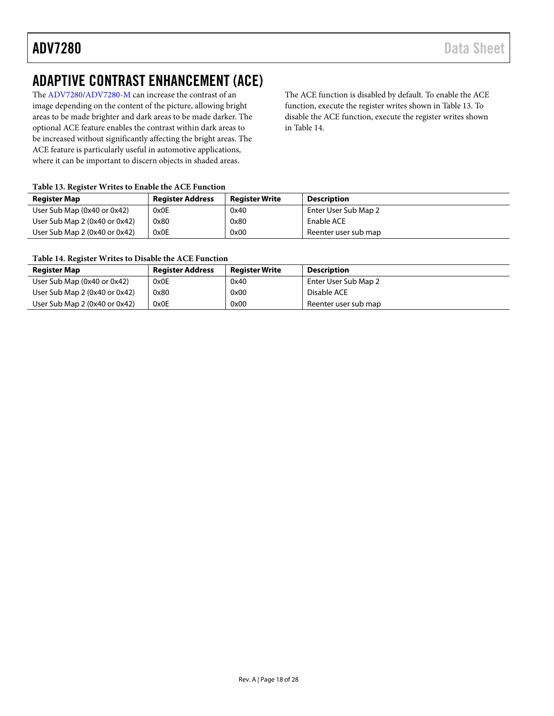### <span id="page-18-0"></span>ADAPTIVE CONTRAST ENHANCEMENT (ACE)

The [ADV7280/ADV7280-M](http://www.analog.com/ADV7280?doc=ADV7280.pdf) can increase the contrast of an image depending on the content of the picture, allowing bright areas to be made brighter and dark areas to be made darker. The optional ACE feature enables the contrast within dark areas to be increased without significantly affecting the bright areas. The ACE feature is particularly useful in automotive applications, where it can be important to discern objects in shaded areas.

The ACE function is disabled by default. To enable the ACE function, execute the register writes shown in [Table 13.](#page-18-1) To disable the ACE function, execute the register writes shown in [Table 14.](#page-18-2)

#### <span id="page-18-1"></span>**Table 13. Register Writes to Enable the ACE Function**

| <b>Register Map</b>           | <b>Register Address</b> | <b>Register Write</b> | <b>Description</b>   |
|-------------------------------|-------------------------|-----------------------|----------------------|
| User Sub Map (0x40 or 0x42)   | 0x0E                    | 0x40                  | Enter User Sub Map 2 |
| User Sub Map 2 (0x40 or 0x42) | 0x80                    | 0x80                  | Enable ACE           |
| User Sub Map 2 (0x40 or 0x42) | 0x0E                    | 0x00                  | Reenter user sub map |

### <span id="page-18-2"></span>**Table 14. Register Writes to Disable the ACE Function**

| <b>Register Map</b>           | <b>Register Address</b> | <b>Register Write</b> | Description          |
|-------------------------------|-------------------------|-----------------------|----------------------|
| User Sub Map (0x40 or 0x42)   | 0x0E                    | 0x40                  | Enter User Sub Map 2 |
| User Sub Map 2 (0x40 or 0x42) | 0x80                    | 0x00                  | Disable ACE          |
| User Sub Map 2 (0x40 or 0x42) | 0x0E                    | 0x00                  | Reenter user sub map |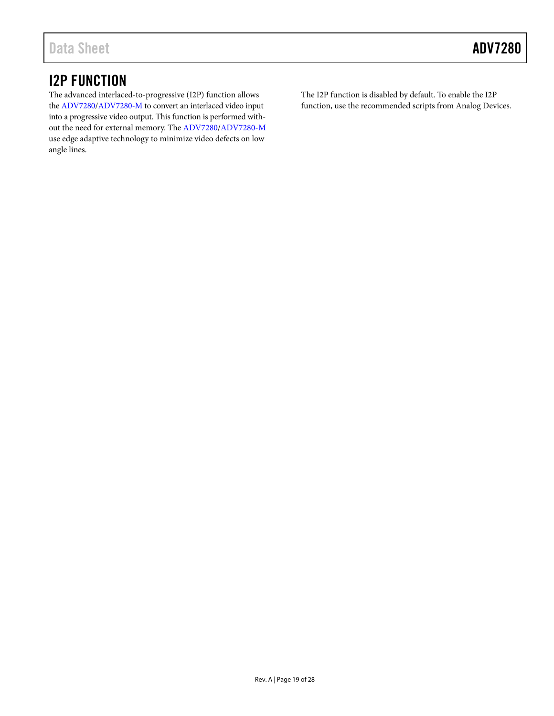### <span id="page-19-0"></span>I2P FUNCTION

The advanced interlaced-to-progressive (I2P) function allows the [ADV7280/ADV7280-M](http://www.analog.com/ADV7280?doc=ADV7280.pdf) to convert an interlaced video input into a progressive video output. This function is performed without the need for external memory. Th[e ADV7280/ADV7280-M](http://www.analog.com/ADV7280?doc=ADV7280.pdf) use edge adaptive technology to minimize video defects on low angle lines.

The I2P function is disabled by default. To enable the I2P function, use the recommended scripts from Analog Devices.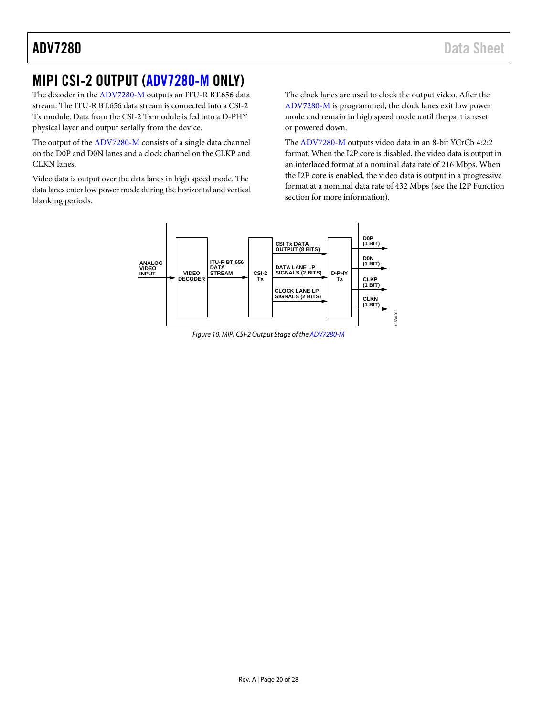### <span id="page-20-0"></span>MIPI CSI-2 OUTPUT [\(ADV7280-M](http://www.analog.com/ADV7280?doc=ADV7280.pdf) ONLY)

The decoder in the [ADV7280-M](http://www.analog.com/ADV7280?doc=ADV7280.pdf) outputs an ITU-R BT.656 data stream. The ITU-R BT.656 data stream is connected into a CSI-2 Tx module. Data from the CSI-2 Tx module is fed into a D-PHY physical layer and output serially from the device.

The output of th[e ADV7280-M](http://www.analog.com/ADV7280?doc=ADV7280.pdf) consists of a single data channel on the D0P and D0N lanes and a clock channel on the CLKP and CLKN lanes.

Video data is output over the data lanes in high speed mode. The data lanes enter low power mode during the horizontal and vertical blanking periods.

The clock lanes are used to clock the output video. After the [ADV7280-M](http://www.analog.com/ADV7280?doc=ADV7280.pdf) is programmed, the clock lanes exit low power mode and remain in high speed mode until the part is reset or powered down.

The [ADV7280-M](http://www.analog.com/ADV7280?doc=ADV7280.pdf) outputs video data in an 8-bit YCrCb 4:2:2 format. When the I2P core is disabled, the video data is output in an interlaced format at a nominal data rate of 216 Mbps. When the I2P core is enabled, the video data is output in a progressive format at a nominal data rate of 432 Mbps (see the [I2P Function](#page-19-0) section for more information).



*Figure 10. MIPI CSI-2 Output Stage of the [ADV7280-M](http://www.analog.com/ADV7280?doc=ADV7280.pdf)*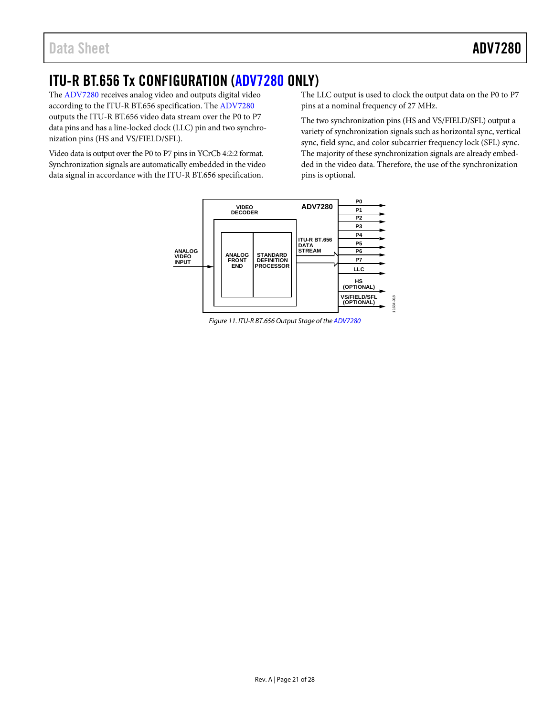### <span id="page-21-0"></span>ITU-R BT.656 Tx CONFIGURATION [\(ADV7280](http://www.analog.com/ADV7280?doc=ADV7280.pdf) ONLY)

The [ADV7280](http://www.analog.com/ADV7280?doc=ADV7280.pdf) receives analog video and outputs digital video according to the ITU-R BT.656 specification. The [ADV7280](http://www.analog.com/ADV7280?doc=ADV7280.pdf) outputs the ITU-R BT.656 video data stream over the P0 to P7 data pins and has a line-locked clock (LLC) pin and two synchronization pins (HS and VS/FIELD/SFL).

Video data is output over the P0 to P7 pins in YCrCb 4:2:2 format. Synchronization signals are automatically embedded in the video data signal in accordance with the ITU-R BT.656 specification.

The LLC output is used to clock the output data on the P0 to P7 pins at a nominal frequency of 27 MHz.

The two synchronization pins (HS and VS/FIELD/SFL) output a variety of synchronization signals such as horizontal sync, vertical sync, field sync, and color subcarrier frequency lock (SFL) sync. The majority of these synchronization signals are already embedded in the video data. Therefore, the use of the synchronization pins is optional.



*Figure 11. ITU-R BT.656 Output Stage of the [ADV7280](http://www.analog.com/ADV7280?doc=ADV7280.pdf)*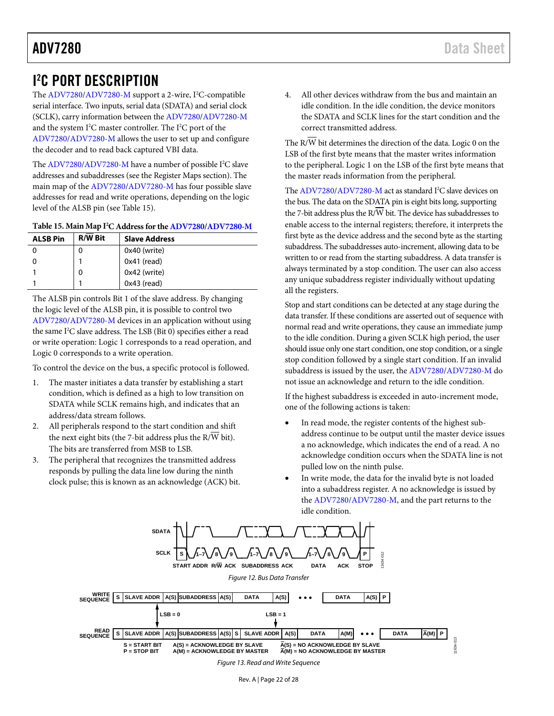### <span id="page-22-0"></span>I 2 C PORT DESCRIPTION

The [ADV7280/ADV7280-M](http://www.analog.com/ADV7280?doc=ADV7280.pdf) support a 2-wire, I<sup>2</sup>C-compatible serial interface. Two inputs, serial data (SDATA) and serial clock (SCLK), carry information between th[e ADV7280/ADV7280-M](http://www.analog.com/ADV7280?doc=ADV7280.pdf) and the system I<sup>2</sup>C master controller. The I<sup>2</sup>C port of the [ADV7280/ADV7280-M](http://www.analog.com/ADV7280?doc=ADV7280.pdf) allows the user to set up and configure the decoder and to read back captured VBI data.

Th[e ADV7280/ADV7280-M](http://www.analog.com/ADV7280?doc=ADV7280.pdf) have a number of possible I<sup>2</sup>C slave addresses and subaddresses (see the [Register Maps](#page-23-0) section). The main map of th[e ADV7280/ADV7280-M](http://www.analog.com/ADV7280?doc=ADV7280.pdf) has four possible slave addresses for read and write operations, depending on the logic level of the ALSB pin (see [Table 15\)](#page-22-1).

#### <span id="page-22-1"></span>**Table 15. Main Map I 2 C Address for th[e ADV7280/ADV7280-M](http://www.analog.com/ADV7280?doc=ADV7280.pdf)**

| <b>ALSB Pin</b> | <b>R/W Bit</b> | <b>Slave Address</b> |
|-----------------|----------------|----------------------|
|                 | 0              | 0x40 (write)         |
|                 |                | $0x41$ (read)        |
|                 | 0              | 0x42 (write)         |
|                 |                | $0x43$ (read)        |

The ALSB pin controls Bit 1 of the slave address. By changing the logic level of the ALSB pin, it is possible to control two [ADV7280/ADV7280-M](http://www.analog.com/ADV7280?doc=ADV7280.pdf) devices in an application without using the same I<sup>2</sup>C slave address. The LSB (Bit 0) specifies either a read or write operation: Logic 1 corresponds to a read operation, and Logic 0 corresponds to a write operation.

To control the device on the bus, a specific protocol is followed.

- 1. The master initiates a data transfer by establishing a start condition, which is defined as a high to low transition on SDATA while SCLK remains high, and indicates that an address/data stream follows.
- 2. All peripherals respond to the start condition and shift the next eight bits (the 7-bit address plus the R/W bit). The bits are transferred from MSB to LSB.
- 3. The peripheral that recognizes the transmitted address responds by pulling the data line low during the ninth clock pulse; this is known as an acknowledge (ACK) bit.

4. All other devices withdraw from the bus and maintain an idle condition. In the idle condition, the device monitors the SDATA and SCLK lines for the start condition and the correct transmitted address.

The R/W bit determines the direction of the data. Logic 0 on the LSB of the first byte means that the master writes information to the peripheral. Logic 1 on the LSB of the first byte means that the master reads information from the peripheral.

Th[e ADV7280/ADV7280-M](http://www.analog.com/ADV7280?doc=ADV7280.pdf) act as standard I<sup>2</sup>C slave devices on the bus. The data on the SDATA pin is eight bits long, supporting the 7-bit address plus the R/W bit. The device has subaddresses to enable access to the internal registers; therefore, it interprets the first byte as the device address and the second byte as the starting subaddress. The subaddresses auto-increment, allowing data to be written to or read from the starting subaddress. A data transfer is always terminated by a stop condition. The user can also access any unique subaddress register individually without updating all the registers.

Stop and start conditions can be detected at any stage during the data transfer. If these conditions are asserted out of sequence with normal read and write operations, they cause an immediate jump to the idle condition. During a given SCLK high period, the user should issue only one start condition, one stop condition, or a single stop condition followed by a single start condition. If an invalid subaddress is issued by the user, th[e ADV7280/ADV7280-M](http://www.analog.com/ADV7280?doc=ADV7280.pdf) do not issue an acknowledge and return to the idle condition.

If the highest subaddress is exceeded in auto-increment mode, one of the following actions is taken:

- In read mode, the register contents of the highest subaddress continue to be output until the master device issues a no acknowledge, which indicates the end of a read. A no acknowledge condition occurs when the SDATA line is not pulled low on the ninth pulse.
- In write mode, the data for the invalid byte is not loaded into a subaddress register. A no acknowledge is issued by th[e ADV7280/ADV7280-M,](http://www.analog.com/ADV7280?doc=ADV7280.pdf) and the part returns to the idle condition.



*Figure 13. Read and Write Sequence*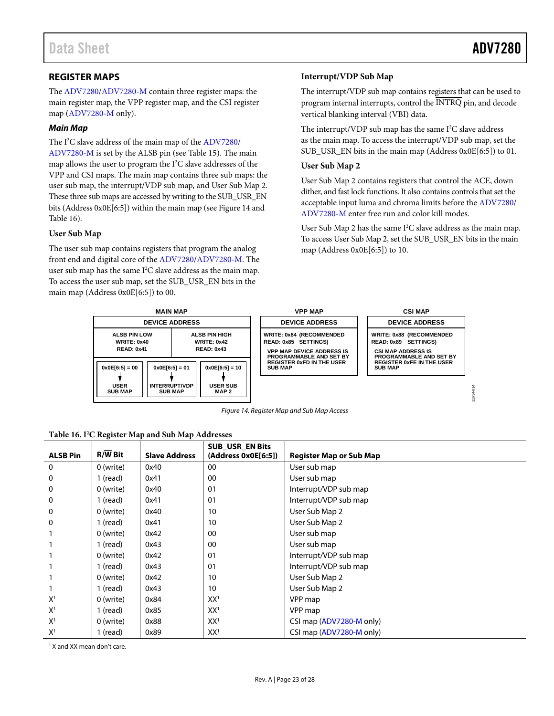### <span id="page-23-0"></span>**REGISTER MAPS**

The [ADV7280/ADV7280-M](http://www.analog.com/ADV7280?doc=ADV7280.pdf) contain three register maps: the main register map, the VPP register map, and the CSI register map [\(ADV7280-M](http://www.analog.com/ADV7280?doc=ADV7280.pdf) only).

#### *Main Map*

The I<sup>2</sup>C slave address of the main map of th[e ADV7280/](http://www.analog.com/ADV7280?doc=ADV7280.pdf) [ADV7280-M](http://www.analog.com/ADV7280?doc=ADV7280.pdf) is set by the ALSB pin (see [Table 15\)](#page-22-1). The main map allows the user to program the  $I^2C$  slave addresses of the VPP and CSI maps. The main map contains three sub maps: the user sub map, the interrupt/VDP sub map, and User Sub Map 2. These three sub maps are accessed by writing to the SUB\_USR\_EN bits (Address 0x0E[6:5]) within the main map (se[e Figure 14](#page-23-1) and [Table 16\)](#page-23-2).

#### **User Sub Map**

The user sub map contains registers that program the analog front end and digital core of the [ADV7280/ADV7280-M.](http://www.analog.com/ADV7280?doc=ADV7280.pdf) The user sub map has the same  $I^2C$  slave address as the main map. To access the user sub map, set the SUB\_USR\_EN bits in the main map (Address 0x0E[6:5]) to 00.

#### **Interrupt/VDP Sub Map**

The interrupt/VDP sub map contains registers that can be used to program internal interrupts, control the INTRQ pin, and decode vertical blanking interval (VBI) data.

The interrupt/VDP sub map has the same  $I<sup>2</sup>C$  slave address as the main map. To access the interrupt/VDP sub map, set the SUB\_USR\_EN bits in the main map (Address 0x0E[6:5]) to 01.

#### **User Sub Map 2**

User Sub Map 2 contains registers that control the ACE, down dither, and fast lock functions. It also contains controls that set the acceptable input luma and chroma limits before th[e ADV7280/](http://www.analog.com/ADV7280?doc=ADV7280.pdf) [ADV7280-M](http://www.analog.com/ADV7280?doc=ADV7280.pdf) enter free run and color kill modes.

User Sub Map 2 has the same  $I^2C$  slave address as the main map. To access User Sub Map 2, set the SUB\_USR\_EN bits in the main map (Address 0x0E[6:5]) to 10.



*Figure 14. Register Map and Sub Map Access*

### <span id="page-23-2"></span><span id="page-23-1"></span>**Table 16. I2 C Register Map and Sub Map Addresses**

| <b>ALSB Pin</b> | $R/W$ Bit | <b>Slave Address</b> | <b>SUB USR EN Bits</b><br>(Address 0x0E[6:5]) | <b>Register Map or Sub Map</b> |
|-----------------|-----------|----------------------|-----------------------------------------------|--------------------------------|
| $\mathbf 0$     | 0 (write) | 0x40                 | 00                                            | User sub map                   |
| $\mathbf 0$     | 1 (read)  | 0x41                 | 00                                            | User sub map                   |
| $\mathbf 0$     | 0 (write) | 0x40                 | 01                                            | Interrupt/VDP sub map          |
| $\mathbf 0$     | 1 (read)  | 0x41                 | 01                                            | Interrupt/VDP sub map          |
| $\mathbf 0$     | 0 (write) | 0x40                 | 10                                            | User Sub Map 2                 |
| $\mathbf 0$     | 1 (read)  | 0x41                 | 10                                            | User Sub Map 2                 |
|                 | 0 (write) | 0x42                 | 00                                            | User sub map                   |
|                 | 1 (read)  | 0x43                 | 00                                            | User sub map                   |
|                 | 0 (write) | 0x42                 | 01                                            | Interrupt/VDP sub map          |
|                 | 1 (read)  | 0x43                 | 01                                            | Interrupt/VDP sub map          |
|                 | 0 (write) | 0x42                 | 10                                            | User Sub Map 2                 |
|                 | 1 (read)  | 0x43                 | 10                                            | User Sub Map 2                 |
| X <sup>1</sup>  | 0 (write) | 0x84                 | XX <sup>1</sup>                               | VPP map                        |
| X <sup>1</sup>  | 1 (read)  | 0x85                 | XX <sup>1</sup>                               | VPP map                        |
| X <sup>1</sup>  | 0 (write) | 0x88                 | XX <sup>1</sup>                               | CSI map (ADV7280-M only)       |
| X <sup>1</sup>  | 1 (read)  | 0x89                 | XX <sup>1</sup>                               | CSI map (ADV7280-M only)       |

<sup>1</sup> X and XX mean don't care.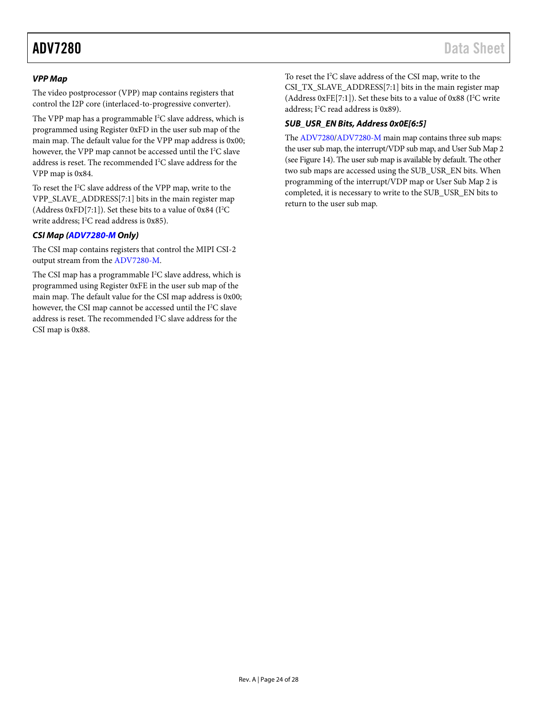#### *VPP Map*

The video postprocessor (VPP) map contains registers that control the I2P core (interlaced-to-progressive converter).

The VPP map has a programmable  $I^2C$  slave address, which is programmed using Register 0xFD in the user sub map of the main map. The default value for the VPP map address is 0x00; however, the VPP map cannot be accessed until the I<sup>2</sup>C slave address is reset. The recommended  $I^2C$  slave address for the VPP map is 0x84.

To reset the I 2 C slave address of the VPP map, write to the VPP\_SLAVE\_ADDRESS[7:1] bits in the main register map (Address 0xFD[7:1]). Set these bits to a value of 0x84 ( $I^2C$ write address; I<sup>2</sup>C read address is 0x85).

#### *CSI Map [\(ADV7280-M](http://www.analog.com/ADV7280?doc=ADV7280.pdf) Only)*

The CSI map contains registers that control the MIPI CSI-2 output stream from th[e ADV7280-M.](http://www.analog.com/ADV7280?doc=ADV7280.pdf)

The CSI map has a programmable I<sup>2</sup>C slave address, which is programmed using Register 0xFE in the user sub map of the main map. The default value for the CSI map address is 0x00; however, the CSI map cannot be accessed until the I<sup>2</sup>C slave address is reset. The recommended I<sup>2</sup>C slave address for the CSI map is 0x88.

To reset the I 2 C slave address of the CSI map, write to the CSI\_TX\_SLAVE\_ADDRESS[7:1] bits in the main register map (Address  $0xFE[7:1]$ ). Set these bits to a value of  $0x88$  (I<sup>2</sup>C write address; I<sup>2</sup>C read address is 0x89).

### *SUB\_USR\_EN Bits, Address 0x0E[6:5]*

Th[e ADV7280/ADV7280-M](http://www.analog.com/ADV7280?doc=ADV7280.pdf) main map contains three sub maps: the user sub map, the interrupt/VDP sub map, and User Sub Map 2 (se[e Figure 14\)](#page-23-1). The user sub map is available by default. The other two sub maps are accessed using the SUB\_USR\_EN bits. When programming of the interrupt/VDP map or User Sub Map 2 is completed, it is necessary to write to the SUB\_USR\_EN bits to return to the user sub map.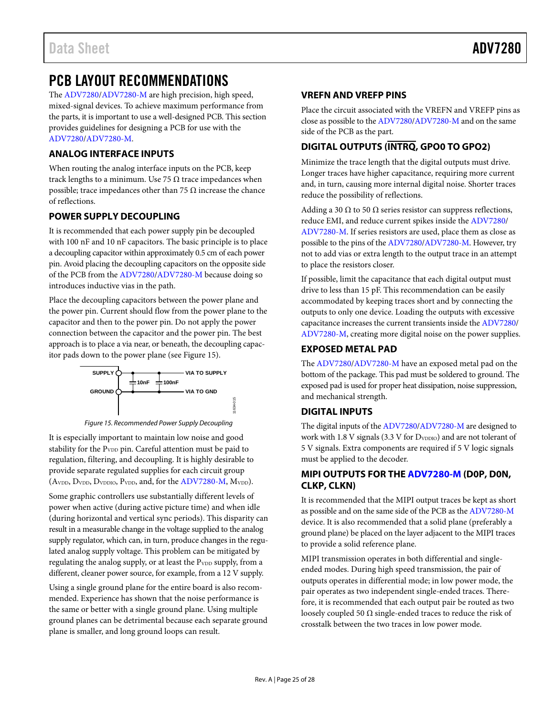### <span id="page-25-0"></span>PCB LAYOUT RECOMMENDATIONS

The [ADV7280/ADV7280-M](http://www.analog.com/ADV7280?doc=ADV7280.pdf) are high precision, high speed, mixed-signal devices. To achieve maximum performance from the parts, it is important to use a well-designed PCB. This section provides guidelines for designing a PCB for use with the [ADV7280/ADV7280-M.](http://www.analog.com/ADV7280?doc=ADV7280.pdf)

### <span id="page-25-1"></span>**ANALOG INTERFACE INPUTS**

When routing the analog interface inputs on the PCB, keep track lengths to a minimum. Use 75  $\Omega$  trace impedances when possible; trace impedances other than 75  $\Omega$  increase the chance of reflections.

### <span id="page-25-2"></span>**POWER SUPPLY DECOUPLING**

It is recommended that each power supply pin be decoupled with 100 nF and 10 nF capacitors. The basic principle is to place a decoupling capacitor within approximately 0.5 cm of each power pin. Avoid placing the decoupling capacitors on the opposite side of the PCB from th[e ADV7280/ADV7280-M](http://www.analog.com/ADV7280?doc=ADV7280.pdf) because doing so introduces inductive vias in the path.

Place the decoupling capacitors between the power plane and the power pin. Current should flow from the power plane to the capacitor and then to the power pin. Do not apply the power connection between the capacitor and the power pin. The best approach is to place a via near, or beneath, the decoupling capacitor pads down to the power plane (see [Figure 15\)](#page-25-8).



*Figure 15. Recommended Power Supply Decoupling*

<span id="page-25-8"></span>It is especially important to maintain low noise and good stability for the P<sub>VDD</sub> pin. Careful attention must be paid to regulation, filtering, and decoupling. It is highly desirable to provide separate regulated supplies for each circuit group (AvDD, DvDD, DvDDIO, PvDD, and, for the [ADV7280-M,](http://www.analog.com/ADV7280?doc=ADV7280.pdf) MvDD).

Some graphic controllers use substantially different levels of power when active (during active picture time) and when idle (during horizontal and vertical sync periods). This disparity can result in a measurable change in the voltage supplied to the analog supply regulator, which can, in turn, produce changes in the regulated analog supply voltage. This problem can be mitigated by regulating the analog supply, or at least the PVDD supply, from a different, cleaner power source, for example, from a 12 V supply.

Using a single ground plane for the entire board is also recommended. Experience has shown that the noise performance is the same or better with a single ground plane. Using multiple ground planes can be detrimental because each separate ground plane is smaller, and long ground loops can result.

### <span id="page-25-3"></span>**VREFN AND VREFP PINS**

Place the circuit associated with the VREFN and VREFP pins as close as possible to the [ADV7280/ADV7280-M](http://www.analog.com/ADV7280?doc=ADV7280.pdf) and on the same side of the PCB as the part.

### <span id="page-25-4"></span>**DIGITAL OUTPUTS (INTRQ, GPO0 TO GPO2)**

Minimize the trace length that the digital outputs must drive. Longer traces have higher capacitance, requiring more current and, in turn, causing more internal digital noise. Shorter traces reduce the possibility of reflections.

Adding a 30  $\Omega$  to 50  $\Omega$  series resistor can suppress reflections, reduce EMI, and reduce current spikes inside th[e ADV7280/](http://www.analog.com/ADV7280?doc=ADV7280.pdf) [ADV7280-M.](http://www.analog.com/ADV7280?doc=ADV7280.pdf) If series resistors are used, place them as close as possible to the pins of the [ADV7280/ADV7280-M.](http://www.analog.com/ADV7280?doc=ADV7280.pdf) However, try not to add vias or extra length to the output trace in an attempt to place the resistors closer.

If possible, limit the capacitance that each digital output must drive to less than 15 pF. This recommendation can be easily accommodated by keeping traces short and by connecting the outputs to only one device. Loading the outputs with excessive capacitance increases the current transients inside the [ADV7280/](http://www.analog.com/ADV7280?doc=ADV7280.pdf) [ADV7280-M,](http://www.analog.com/ADV7280?doc=ADV7280.pdf) creating more digital noise on the power supplies.

### <span id="page-25-5"></span>**EXPOSED METAL PAD**

The [ADV7280/ADV7280-M](http://www.analog.com/ADV7280?doc=ADV7280.pdf) have an exposed metal pad on the bottom of the package. This pad must be soldered to ground. The exposed pad is used for proper heat dissipation, noise suppression, and mechanical strength.

### <span id="page-25-6"></span>**DIGITAL INPUTS**

The digital inputs of th[e ADV7280/ADV7280-M](http://www.analog.com/ADV7280?doc=ADV7280.pdf) are designed to work with 1.8 V signals (3.3 V for D<sub>VDDIO</sub>) and are not tolerant of 5 V signals. Extra components are required if 5 V logic signals must be applied to the decoder.

### <span id="page-25-7"></span>**MIPI OUTPUTS FOR THE [ADV7280-M](http://www.analog.com/ADV7280?doc=ADV7280.pdf) (D0P, D0N, CLKP, CLKN)**

It is recommended that the MIPI output traces be kept as short as possible and on the same side of the PCB as the [ADV7280-M](http://www.analog.com/ADV7280?doc=ADV7280.pdf) device. It is also recommended that a solid plane (preferably a ground plane) be placed on the layer adjacent to the MIPI traces to provide a solid reference plane.

MIPI transmission operates in both differential and singleended modes. During high speed transmission, the pair of outputs operates in differential mode; in low power mode, the pair operates as two independent single-ended traces. Therefore, it is recommended that each output pair be routed as two loosely coupled 50  $\Omega$  single-ended traces to reduce the risk of crosstalk between the two traces in low power mode.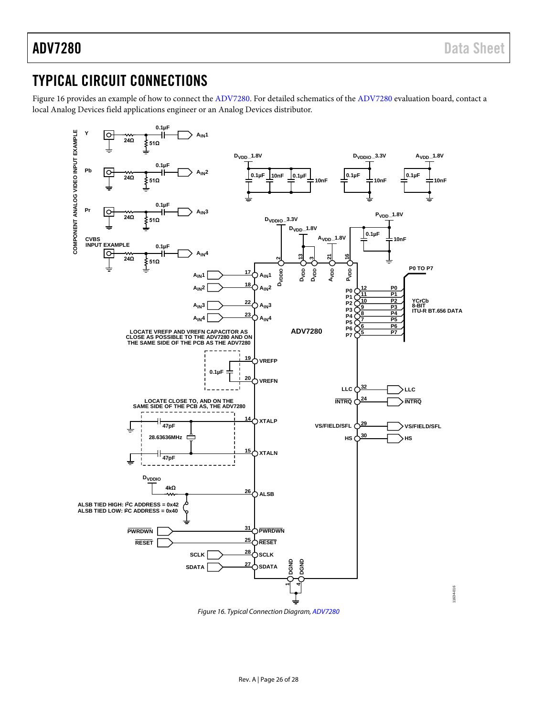### <span id="page-26-0"></span>TYPICAL CIRCUIT CONNECTIONS

[Figure 16](#page-26-1) provides an example of how to connect the [ADV7280.](http://www.analog.com/ADV7280?doc=ADV7280.pdf) For detailed schematics of th[e ADV7280](http://www.analog.com/ADV7280?doc=ADV7280.pdf) evaluation board, contact a local Analog Devices field applications engineer or an Analog Devices distributor.



<span id="page-26-1"></span>*Figure 16. Typical Connection Diagram[, ADV7280](http://www.analog.com/ADV7280?doc=ADV7280.pdf)*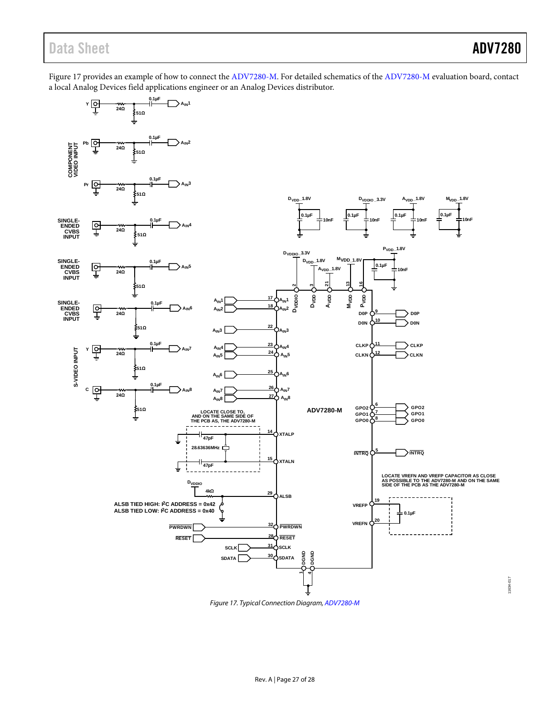### Data Sheet **ADV7280**

[Figure 17](#page-27-0) provides an example of how to connect the [ADV7280-M.](http://www.analog.com/ADV7280?doc=ADV7280.pdf) For detailed schematics of th[e ADV7280-M](http://www.analog.com/ADV7280?doc=ADV7280.pdf) evaluation board, contact a local Analog Devices field applications engineer or an Analog Devices distributor.



<span id="page-27-0"></span>*Figure 17. Typical Connection Diagram[, ADV7280-M](http://www.analog.com/ADV7280?doc=ADV7280.pdf)*

11634-017 11634-017